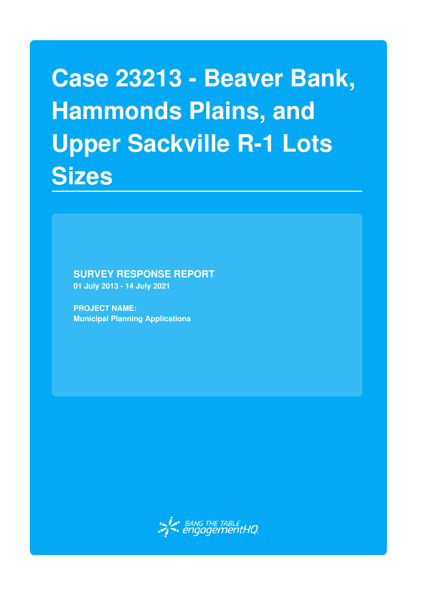# **Case 23213 - Beaver Bank, Hammonds Plains, and Upper Sackville R-1 Lots Sizes**

**SURVEY RESPONSE REPORT**

**01 July 2013 - 14 July 2021**

**PROJECT NAME: Municipal Planning Applications**

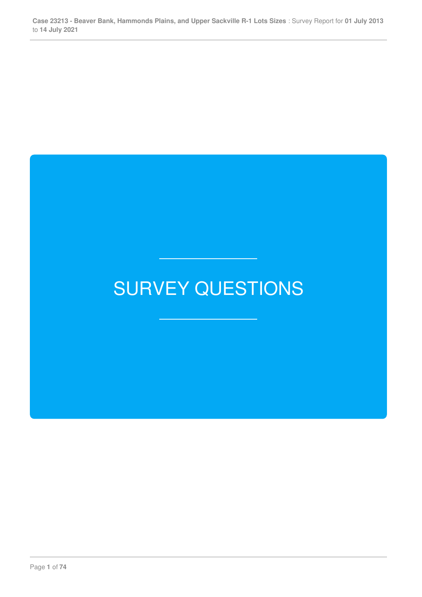## SURVEY QUESTIONS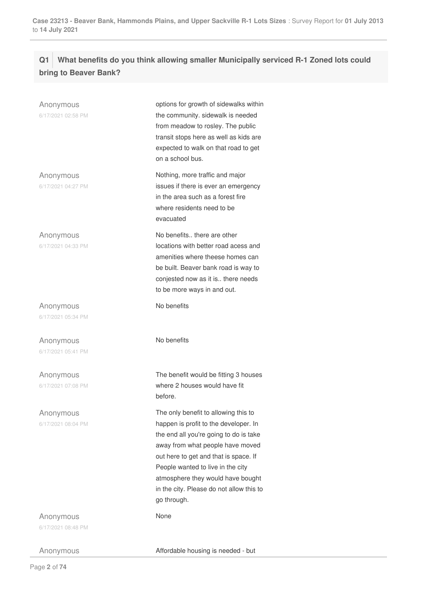### **Q1 What benefits do you think allowing smaller Municipally serviced R-1 Zoned lots could bring to Beaver Bank?**

| Anonymous<br>6/17/2021 02:58 PM | options for growth of sidewalks within<br>the community. sidewalk is needed<br>from meadow to rosley. The public<br>transit stops here as well as kids are<br>expected to walk on that road to get<br>on a school bus.                                                                                                                    |  |
|---------------------------------|-------------------------------------------------------------------------------------------------------------------------------------------------------------------------------------------------------------------------------------------------------------------------------------------------------------------------------------------|--|
| Anonymous<br>6/17/2021 04:27 PM | Nothing, more traffic and major<br>issues if there is ever an emergency<br>in the area such as a forest fire<br>where residents need to be<br>evacuated                                                                                                                                                                                   |  |
| Anonymous<br>6/17/2021 04:33 PM | No benefits there are other<br>locations with better road acess and<br>amenities where theese homes can<br>be built. Beaver bank road is way to<br>conjested now as it is there needs<br>to be more ways in and out.                                                                                                                      |  |
| Anonymous                       | No benefits                                                                                                                                                                                                                                                                                                                               |  |
| 6/17/2021 05:34 PM              |                                                                                                                                                                                                                                                                                                                                           |  |
| Anonymous<br>6/17/2021 05:41 PM | No benefits                                                                                                                                                                                                                                                                                                                               |  |
| Anonymous<br>6/17/2021 07:08 PM | The benefit would be fitting 3 houses<br>where 2 houses would have fit<br>before.                                                                                                                                                                                                                                                         |  |
| Anonymous<br>6/17/2021 08:04 PM | The only benefit to allowing this to<br>happen is profit to the developer. In<br>the end all you're going to do is take<br>away from what people have moved<br>out here to get and that is space. If<br>People wanted to live in the city<br>atmosphere they would have bought<br>in the city. Please do not allow this to<br>go through. |  |
| Anonymous                       | None                                                                                                                                                                                                                                                                                                                                      |  |
| 6/17/2021 08:48 PM              |                                                                                                                                                                                                                                                                                                                                           |  |
| Anonymous                       | Affordable housing is needed - but                                                                                                                                                                                                                                                                                                        |  |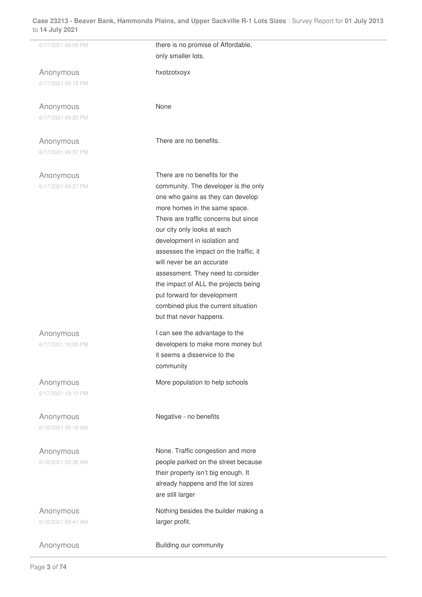| / I≒ JUIY ∠U∠ I                 |                                        |  |
|---------------------------------|----------------------------------------|--|
| 6/17/2021 09:09 PM              | there is no promise of Affordable,     |  |
|                                 | only smaller lots.                     |  |
| Anonymous                       | hxotzotxoyx                            |  |
| 6/17/2021 09:15 PM              |                                        |  |
|                                 |                                        |  |
| Anonymous                       | None                                   |  |
| 6/17/2021 09:20 PM              |                                        |  |
|                                 | There are no benefits.                 |  |
| Anonymous<br>6/17/2021 09:57 PM |                                        |  |
|                                 |                                        |  |
| Anonymous                       | There are no benefits for the          |  |
| 6/17/2021 09:57 PM              | community. The developer is the only   |  |
|                                 | one who gains as they can develop      |  |
|                                 | more homes in the same space.          |  |
|                                 | There are traffic concerns but since   |  |
|                                 | our city only looks at each            |  |
|                                 | development in isolation and           |  |
|                                 | assesses the impact on the traffic, it |  |
|                                 | will never be an accurate              |  |
|                                 | assessment. They need to consider      |  |
|                                 | the impact of ALL the projects being   |  |
|                                 | put forward for development            |  |
|                                 | combined plus the current situation    |  |
|                                 | but that never happens.                |  |
| Anonymous                       | I can see the advantage to the         |  |
| 6/17/2021 10:05 PM              | developers to make more money but      |  |
|                                 | it seems a disservice to the           |  |
|                                 | community                              |  |
| Anonymous                       | More population to help schools        |  |
| 6/17/2021 10:10 PM              |                                        |  |
|                                 |                                        |  |
| Anonymous                       | Negative - no benefits                 |  |
| 6/18/2021 05:16 AM              |                                        |  |
| Anonymous                       | None. Traffic congestion and more      |  |
| 6/18/2021 05:38 AM              | people parked on the street because    |  |
|                                 | their property isn't big enough. It    |  |
|                                 | already happens and the lot sizes      |  |
|                                 | are still larger                       |  |
| Anonymous                       | Nothing besides the builder making a   |  |
| 6/18/2021 09:41 AM              | larger profit.                         |  |
|                                 |                                        |  |
| Anonymous                       | Building our community                 |  |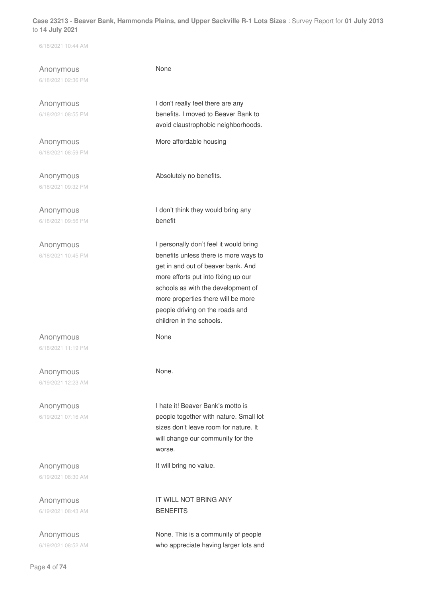6/18/2021 10:44 AM

Anonymous 6/18/2021 02:36 PM

Anonymous 6/18/2021 08:55 PM

Anonymous 6/18/2021 08:59 PM

Anonymous 6/18/2021 09:32 PM

Anonymous 6/18/2021 09:56 PM

Anonymous 6/18/2021 10:45 PM

Anonymous 6/18/2021 11:19 PM

Anonymous 6/19/2021 12:23 AM

Anonymous 6/19/2021 07:16 AM

Anonymous 6/19/2021 08:30 AM

Anonymous 6/19/2021 08:43 AM

Anonymous 6/19/2021 08:52 AM None

I don't really feel there are any benefits. I moved to Beaver Bank to avoid claustrophobic neighborhoods.

More affordable housing

Absolutely no benefits.

I don't think they would bring any benefit

I personally don't feel it would bring benefits unless there is more ways to get in and out of beaver bank. And more efforts put into fixing up our schools as with the development of more properties there will be more people driving on the roads and children in the schools.

None

None.

I hate it! Beaver Bank's motto is people together with nature. Small lot sizes don't leave room for nature. It will change our community for the worse.

It will bring no value.

IT WILL NOT BRING ANY BENEFITS

None. This is a community of people who appreciate having larger lots and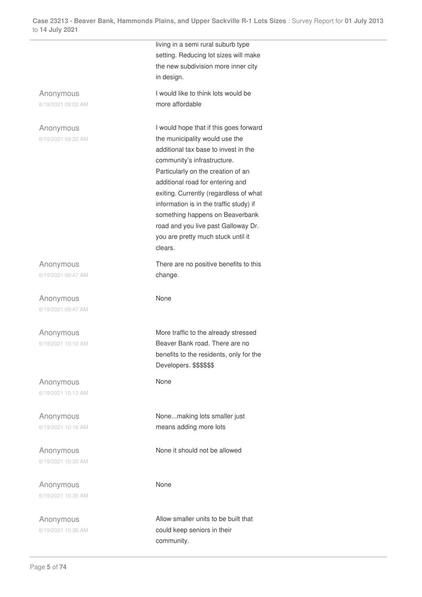living in a semi rural suburb type setting. Reducing lot sizes will make the new subdivision more inner city in design. Anonymous 6/19/2021 09:02 AM I would like to think lots would be more affordable Anonymous 6/19/2021 09:33 AM I would hope that if this goes forward the municipality would use the additional tax base to invest in the community's infrastructure. Particularly on the creation of an additional road for entering and exiting. Currently (regardless of what information is in the traffic study) if something happens on Beaverbank road and you live past Galloway Dr. you are pretty much stuck until it clears. Anonymous 6/19/2021 09:47 AM There are no positive benefits to this change. Anonymous 6/19/2021 09:47 AM None Anonymous 6/19/2021 10:10 AM More traffic to the already stressed Beaver Bank road. There are no benefits to the residents, only for the Developers. \$\$\$\$\$\$ Anonymous 6/19/2021 10:13 AM None Anonymous 6/19/2021 10:18 AM None...making lots smaller just means adding more lots Anonymous 6/19/2021 10:30 AM None it should not be allowed Anonymous 6/19/2021 10:35 AM None Anonymous 6/19/2021 10:36 AM Allow smaller units to be built that could keep seniors in their community.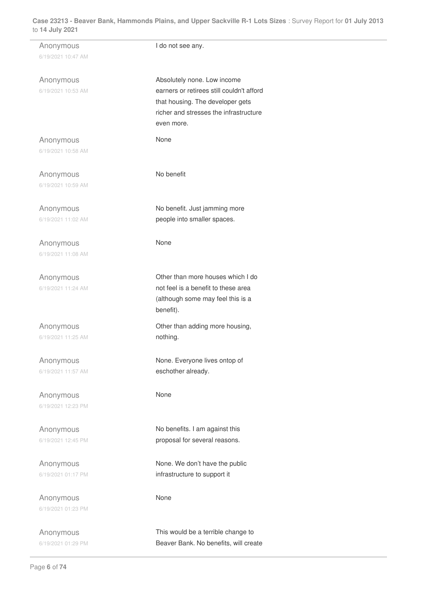| Anonymous<br>6/19/2021 10:47 AM | I do not see any.                                                                                                                                                    |
|---------------------------------|----------------------------------------------------------------------------------------------------------------------------------------------------------------------|
| Anonymous<br>6/19/2021 10:53 AM | Absolutely none. Low income<br>earners or retirees still couldn't afford<br>that housing. The developer gets<br>richer and stresses the infrastructure<br>even more. |
| Anonymous<br>6/19/2021 10:58 AM | None                                                                                                                                                                 |
| Anonymous<br>6/19/2021 10:59 AM | No benefit                                                                                                                                                           |
| Anonymous<br>6/19/2021 11:02 AM | No benefit. Just jamming more<br>people into smaller spaces.                                                                                                         |
| Anonymous<br>6/19/2021 11:08 AM | None                                                                                                                                                                 |
| Anonymous<br>6/19/2021 11:24 AM | Other than more houses which I do<br>not feel is a benefit to these area<br>(although some may feel this is a<br>benefit).                                           |
| Anonymous<br>6/19/2021 11:25 AM | Other than adding more housing,<br>nothing.                                                                                                                          |
| Anonymous<br>6/19/2021 11:57 AM | None. Everyone lives ontop of<br>eschother already.                                                                                                                  |
| Anonymous<br>6/19/2021 12:23 PM | None                                                                                                                                                                 |
| Anonymous<br>6/19/2021 12:45 PM | No benefits. I am against this<br>proposal for several reasons.                                                                                                      |
| Anonymous<br>6/19/2021 01:17 PM | None. We don't have the public<br>infrastructure to support it                                                                                                       |
| Anonymous<br>6/19/2021 01:23 PM | None                                                                                                                                                                 |
| Anonymous<br>6/19/2021 01:29 PM | This would be a terrible change to<br>Beaver Bank. No benefits, will create                                                                                          |

÷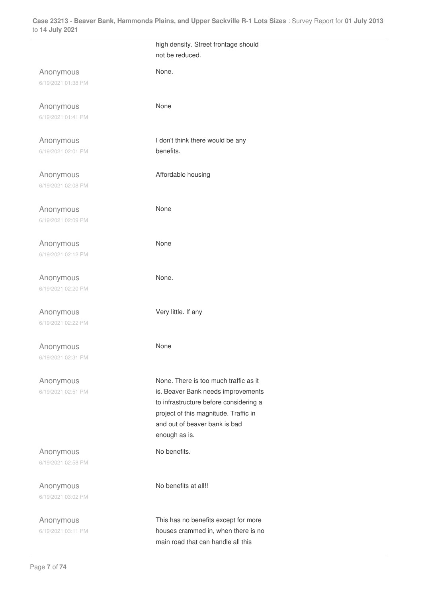|                                 | high density. Street frontage should<br>not be reduced.                                                                                                                                                          |
|---------------------------------|------------------------------------------------------------------------------------------------------------------------------------------------------------------------------------------------------------------|
| Anonymous<br>6/19/2021 01:38 PM | None.                                                                                                                                                                                                            |
| Anonymous<br>6/19/2021 01:41 PM | None                                                                                                                                                                                                             |
| Anonymous<br>6/19/2021 02:01 PM | I don't think there would be any<br>benefits.                                                                                                                                                                    |
| Anonymous<br>6/19/2021 02:08 PM | Affordable housing                                                                                                                                                                                               |
| Anonymous<br>6/19/2021 02:09 PM | None                                                                                                                                                                                                             |
| Anonymous<br>6/19/2021 02:12 PM | None                                                                                                                                                                                                             |
| Anonymous<br>6/19/2021 02:20 PM | None.                                                                                                                                                                                                            |
| Anonymous<br>6/19/2021 02:22 PM | Very little. If any                                                                                                                                                                                              |
| Anonymous<br>6/19/2021 02:31 PM | None                                                                                                                                                                                                             |
| Anonymous<br>6/19/2021 02:51 PM | None. There is too much traffic as it<br>is. Beaver Bank needs improvements<br>to infrastructure before considering a<br>project of this magnitude. Traffic in<br>and out of beaver bank is bad<br>enough as is. |
| Anonymous<br>6/19/2021 02:58 PM | No benefits.                                                                                                                                                                                                     |
| Anonymous<br>6/19/2021 03:02 PM | No benefits at all!!                                                                                                                                                                                             |
| Anonymous<br>6/19/2021 03:11 PM | This has no benefits except for more<br>houses crammed in, when there is no<br>main road that can handle all this                                                                                                |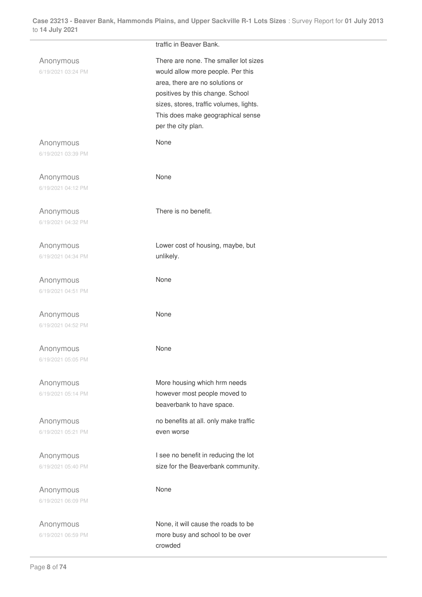|                                 | traffic in Beaver Bank.                                                                                                                                                                                                                                 |
|---------------------------------|---------------------------------------------------------------------------------------------------------------------------------------------------------------------------------------------------------------------------------------------------------|
| Anonymous<br>6/19/2021 03:24 PM | There are none. The smaller lot sizes<br>would allow more people. Per this<br>area, there are no solutions or<br>positives by this change. School<br>sizes, stores, traffic volumes, lights.<br>This does make geographical sense<br>per the city plan. |
| Anonymous                       | None                                                                                                                                                                                                                                                    |
| 6/19/2021 03:39 PM              |                                                                                                                                                                                                                                                         |
| Anonymous                       | None                                                                                                                                                                                                                                                    |
| 6/19/2021 04:12 PM              |                                                                                                                                                                                                                                                         |
|                                 | There is no benefit.                                                                                                                                                                                                                                    |
| Anonymous<br>6/19/2021 04:32 PM |                                                                                                                                                                                                                                                         |
|                                 |                                                                                                                                                                                                                                                         |
| Anonymous                       | Lower cost of housing, maybe, but                                                                                                                                                                                                                       |
| 6/19/2021 04:34 PM              | unlikely.                                                                                                                                                                                                                                               |
| Anonymous                       | None                                                                                                                                                                                                                                                    |
| 6/19/2021 04:51 PM              |                                                                                                                                                                                                                                                         |
| Anonymous                       | None                                                                                                                                                                                                                                                    |
| 6/19/2021 04:52 PM              |                                                                                                                                                                                                                                                         |
| Anonymous                       | None                                                                                                                                                                                                                                                    |
| 6/19/2021 05:05 PM              |                                                                                                                                                                                                                                                         |
|                                 |                                                                                                                                                                                                                                                         |
| Anonymous<br>6/19/2021 05:14 PM | More housing which hrm needs<br>however most people moved to                                                                                                                                                                                            |
|                                 | beaverbank to have space.                                                                                                                                                                                                                               |
| Anonymous                       | no benefits at all. only make traffic                                                                                                                                                                                                                   |
| 6/19/2021 05:21 PM              | even worse                                                                                                                                                                                                                                              |
|                                 | I see no benefit in reducing the lot                                                                                                                                                                                                                    |
| Anonymous<br>6/19/2021 05:40 PM | size for the Beaverbank community.                                                                                                                                                                                                                      |
|                                 |                                                                                                                                                                                                                                                         |
| Anonymous                       | None                                                                                                                                                                                                                                                    |
| 6/19/2021 06:09 PM              |                                                                                                                                                                                                                                                         |
| Anonymous                       | None, it will cause the roads to be                                                                                                                                                                                                                     |
| 6/19/2021 06:59 PM              | more busy and school to be over                                                                                                                                                                                                                         |
|                                 | crowded                                                                                                                                                                                                                                                 |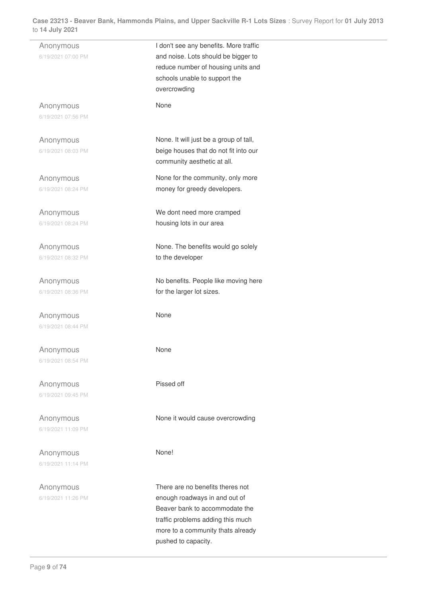| ו ∡ט∠ y uu y ∠ט                 |                                                                                                                                                                               |  |
|---------------------------------|-------------------------------------------------------------------------------------------------------------------------------------------------------------------------------|--|
| Anonymous<br>6/19/2021 07:00 PM | I don't see any benefits. More traffic<br>and noise. Lots should be bigger to<br>reduce number of housing units and<br>schools unable to support the<br>overcrowding          |  |
| Anonymous<br>6/19/2021 07:56 PM | None                                                                                                                                                                          |  |
| Anonymous<br>6/19/2021 08:03 PM | None. It will just be a group of tall,<br>beige houses that do not fit into our<br>community aesthetic at all.                                                                |  |
| Anonymous<br>6/19/2021 08:24 PM | None for the community, only more<br>money for greedy developers.                                                                                                             |  |
| Anonymous<br>6/19/2021 08:24 PM | We dont need more cramped<br>housing lots in our area                                                                                                                         |  |
| Anonymous<br>6/19/2021 08:32 PM | None. The benefits would go solely<br>to the developer                                                                                                                        |  |
| Anonymous<br>6/19/2021 08:36 PM | No benefits. People like moving here<br>for the larger lot sizes.                                                                                                             |  |
| Anonymous<br>6/19/2021 08:44 PM | None                                                                                                                                                                          |  |
| Anonymous<br>6/19/2021 08:54 PM | None                                                                                                                                                                          |  |
| Anonymous<br>6/19/2021 09:45 PM | Pissed off                                                                                                                                                                    |  |
| Anonymous<br>6/19/2021 11:09 PM | None it would cause overcrowding                                                                                                                                              |  |
| Anonymous<br>6/19/2021 11:14 PM | None!                                                                                                                                                                         |  |
| Anonymous<br>6/19/2021 11:26 PM | There are no benefits theres not<br>enough roadways in and out of<br>Beaver bank to accommodate the<br>traffic problems adding this much<br>more to a community thats already |  |

pushed to capacity.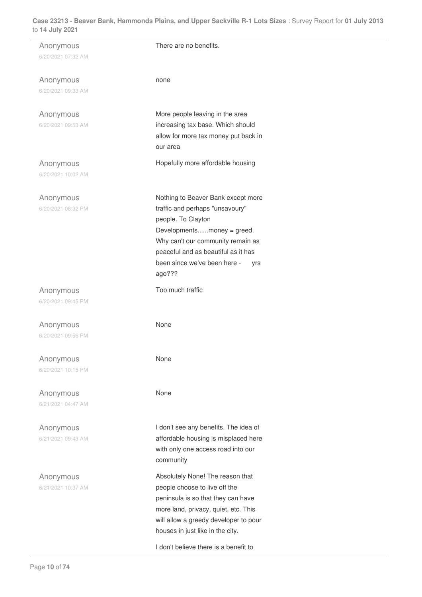| Anonymous          | There are no benefits.                |
|--------------------|---------------------------------------|
| 6/20/2021 07:32 AM |                                       |
|                    |                                       |
|                    |                                       |
| Anonymous          | none                                  |
| 6/20/2021 09:33 AM |                                       |
|                    |                                       |
|                    |                                       |
| Anonymous          | More people leaving in the area       |
| 6/20/2021 09:53 AM | increasing tax base. Which should     |
|                    | allow for more tax money put back in  |
|                    | our area                              |
|                    |                                       |
| Anonymous          | Hopefully more affordable housing     |
| 6/20/2021 10:02 AM |                                       |
|                    |                                       |
|                    |                                       |
| Anonymous          | Nothing to Beaver Bank except more    |
| 6/20/2021 08:32 PM | traffic and perhaps "unsavoury"       |
|                    | people. To Clayton                    |
|                    | Developmentsmoney = greed.            |
|                    | Why can't our community remain as     |
|                    | peaceful and as beautiful as it has   |
|                    |                                       |
|                    | been since we've been here -<br>yrs   |
|                    | ago???                                |
|                    | Too much traffic                      |
| Anonymous          |                                       |
| 6/20/2021 09:45 PM |                                       |
|                    |                                       |
| Anonymous          | None                                  |
| 6/20/2021 09:56 PM |                                       |
|                    |                                       |
|                    |                                       |
| Anonymous          | None                                  |
| 6/20/2021 10:15 PM |                                       |
|                    |                                       |
| Anonymous          | None                                  |
|                    |                                       |
| 6/21/2021 04:47 AM |                                       |
|                    |                                       |
| Anonymous          | I don't see any benefits. The idea of |
| 6/21/2021 09:43 AM | affordable housing is misplaced here  |
|                    | with only one access road into our    |
|                    |                                       |
|                    | community                             |
| Anonymous          | Absolutely None! The reason that      |
| 6/21/2021 10:37 AM | people choose to live off the         |
|                    |                                       |
|                    | peninsula is so that they can have    |
|                    | more land, privacy, quiet, etc. This  |
|                    | will allow a greedy developer to pour |
|                    | houses in just like in the city.      |
|                    |                                       |
|                    | I don't believe there is a benefit to |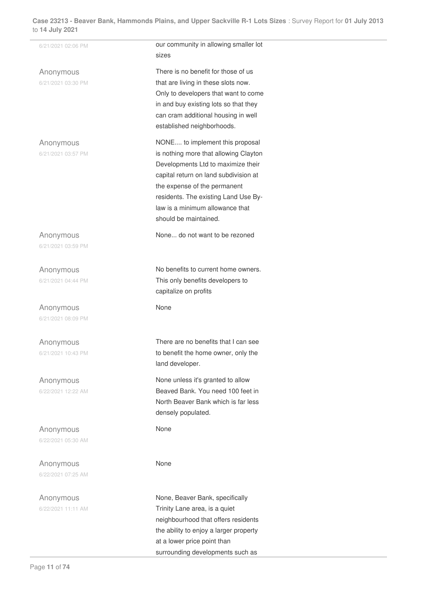| 6/21/2021 02:06 PM              | our community in allowing smaller lot<br>sizes                                                                                                                                                                                                                                              |  |
|---------------------------------|---------------------------------------------------------------------------------------------------------------------------------------------------------------------------------------------------------------------------------------------------------------------------------------------|--|
| Anonymous<br>6/21/2021 03:30 PM | There is no benefit for those of us<br>that are living in these slots now.<br>Only to developers that want to come<br>in and buy existing lots so that they<br>can cram additional housing in well<br>established neighborhoods.                                                            |  |
| Anonymous<br>6/21/2021 03:57 PM | NONE to implement this proposal<br>is nothing more that allowing Clayton<br>Developments Ltd to maximize their<br>capital return on land subdivision at<br>the expense of the permanent<br>residents. The existing Land Use By-<br>law is a minimum allowance that<br>should be maintained. |  |
| Anonymous<br>6/21/2021 03:59 PM | None do not want to be rezoned                                                                                                                                                                                                                                                              |  |
| Anonymous<br>6/21/2021 04:44 PM | No benefits to current home owners.<br>This only benefits developers to<br>capitalize on profits                                                                                                                                                                                            |  |
| Anonymous<br>6/21/2021 08:09 PM | None                                                                                                                                                                                                                                                                                        |  |
| Anonymous<br>6/21/2021 10:43 PM | There are no benefits that I can see<br>to benefit the home owner, only the<br>land developer.                                                                                                                                                                                              |  |
| Anonymous<br>6/22/2021 12:22 AM | None unless it's granted to allow<br>Beaved Bank. You need 100 feet in<br>North Beaver Bank which is far less<br>densely populated.                                                                                                                                                         |  |
| Anonymous<br>6/22/2021 05:30 AM | None                                                                                                                                                                                                                                                                                        |  |
| Anonymous<br>6/22/2021 07:25 AM | None                                                                                                                                                                                                                                                                                        |  |
| Anonymous<br>6/22/2021 11:11 AM | None, Beaver Bank, specifically<br>Trinity Lane area, is a quiet<br>neighbourhood that offers residents<br>the ability to enjoy a larger property<br>at a lower price point than<br>surrounding developments such as                                                                        |  |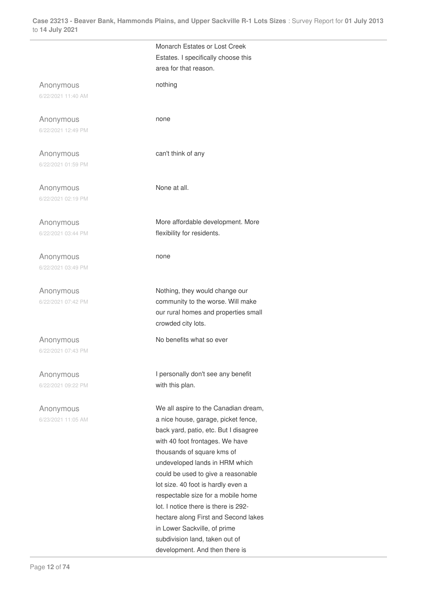|                    | Monarch Estates or Lost Creek         |
|--------------------|---------------------------------------|
|                    | Estates. I specifically choose this   |
|                    | area for that reason.                 |
|                    |                                       |
| Anonymous          | nothing                               |
| 6/22/2021 11:40 AM |                                       |
|                    |                                       |
|                    |                                       |
| Anonymous          | none                                  |
| 6/22/2021 12:49 PM |                                       |
|                    |                                       |
| Anonymous          | can't think of any                    |
| 6/22/2021 01:59 PM |                                       |
|                    |                                       |
|                    |                                       |
| Anonymous          | None at all.                          |
| 6/22/2021 02:19 PM |                                       |
|                    |                                       |
| Anonymous          | More affordable development. More     |
| 6/22/2021 03:44 PM | flexibility for residents.            |
|                    |                                       |
|                    |                                       |
| Anonymous          | none                                  |
| 6/22/2021 03:49 PM |                                       |
|                    |                                       |
| Anonymous          | Nothing, they would change our        |
|                    |                                       |
| 6/22/2021 07:42 PM | community to the worse. Will make     |
|                    | our rural homes and properties small  |
|                    | crowded city lots.                    |
| Anonymous          | No benefits what so ever              |
|                    |                                       |
| 6/22/2021 07:43 PM |                                       |
|                    |                                       |
| Anonymous          | I personally don't see any benefit    |
| 6/22/2021 09:22 PM | with this plan.                       |
|                    |                                       |
| Anonymous          | We all aspire to the Canadian dream,  |
| 6/23/2021 11:05 AM | a nice house, garage, picket fence,   |
|                    | back yard, patio, etc. But I disagree |
|                    |                                       |
|                    | with 40 foot frontages. We have       |
|                    | thousands of square kms of            |
|                    | undeveloped lands in HRM which        |
|                    | could be used to give a reasonable    |
|                    | lot size. 40 foot is hardly even a    |
|                    | respectable size for a mobile home    |
|                    | lot. I notice there is there is 292-  |
|                    | hectare along First and Second lakes  |
|                    |                                       |
|                    | in Lower Sackville, of prime          |
|                    | subdivision land, taken out of        |
|                    | development. And then there is        |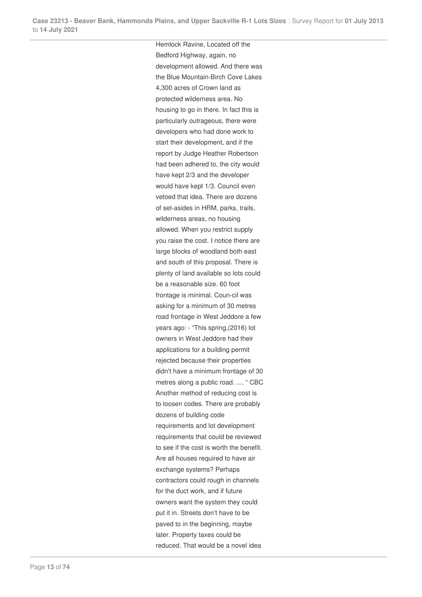Hemlock Ravine, Located off the Bedford Highway, again, no development allowed. And there was the Blue Mountain-Birch Cove Lakes 4,300 acres of Crown land as protected wilderness area. No housing to go in there. In fact this is particularly outrageous, there were developers who had done work to start their development, and if the report by Judge Heather Robertson had been adhered to, the city would have kept 2/3 and the developer would have kept 1/3. Council even vetoed that idea. There are dozens of set-asides in HRM, parks, trails, wilderness areas, no housing allowed. When you restrict supply you raise the cost. I notice there are large blocks of woodland both east and south of this proposal. There is plenty of land available so lots could be a reasonable size. 60 foot frontage is minimal. Coun-cil was asking for a minimum of 30 metres road frontage in West Jeddore a few years ago: - "This spring,(2016) lot owners in West Jeddore had their applications for a building permit rejected because their properties didn't have a minimum frontage of 30 metres along a public road. .... " CBC Another method of reducing cost is to loosen codes. There are probably dozens of building code requirements and lot development requirements that could be reviewed to see if the cost is worth the benefit. Are all houses required to have air exchange systems? Perhaps contractors could rough in channels for the duct work, and if future owners want the system they could put it in. Streets don't have to be paved to in the beginning, maybe later. Property taxes could be reduced. That would be a novel idea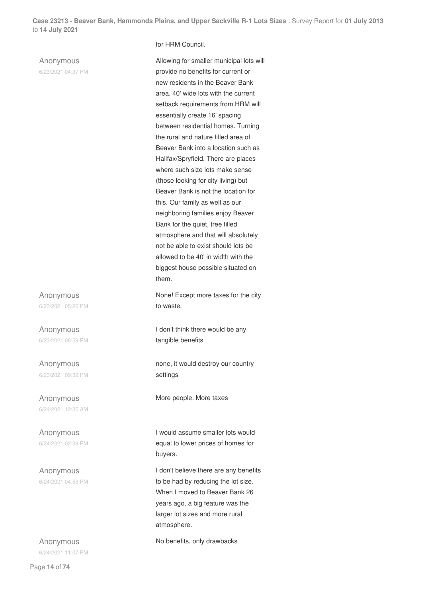#### Anonymous

6/23/2021 04:37 PM

#### Anonymous 6/23/2021 05:26 PM

Anonymous 6/23/2021 06:59 PM

Anonymous 6/23/2021 09:39 PM

Anonymous 6/24/2021 12:35 AM

Anonymous 6/24/2021 02:39 PM

Anonymous 6/24/2021 04:53 PM

Anonymous 6/24/2021 11:07 PM

#### for HRM Council.

Allowing for smaller municipal lots will provide no benefits for current or new residents in the Beaver Bank area. 40' wide lots with the current setback requirements from HRM will essentially create 16' spacing between residential homes. Turning the rural and nature filled area of Beaver Bank into a location such as Halifax/Spryfield. There are places where such size lots make sense (those looking for city living) but Beaver Bank is not the location for this. Our family as well as our neighboring families enjoy Beaver Bank for the quiet, tree filled atmosphere and that will absolutely not be able to exist should lots be allowed to be 40' in width with the biggest house possible situated on them.

None! Except more taxes for the city to waste.

I don't think there would be any tangible benefits

none, it would destroy our country settings

More people. More taxes

I would assume smaller lots would equal to lower prices of homes for buyers.

I don't believe there are any benefits to be had by reducing the lot size. When I moved to Beaver Bank 26 years ago, a big feature was the larger lot sizes and more rural atmosphere.

No benefits, only drawbacks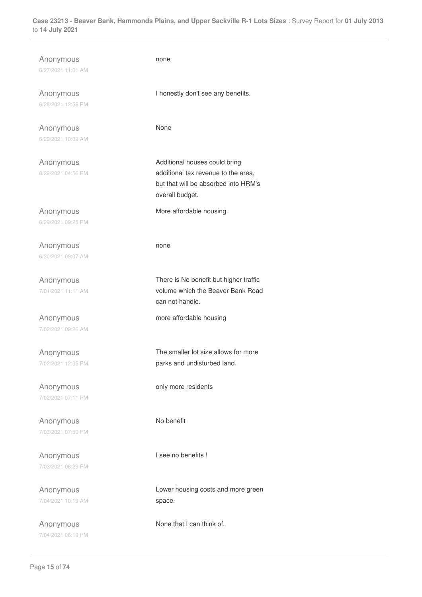| Anonymous<br>6/27/2021 11:01 AM | none                                                                                                                            |
|---------------------------------|---------------------------------------------------------------------------------------------------------------------------------|
| Anonymous<br>6/28/2021 12:56 PM | I honestly don't see any benefits.                                                                                              |
| Anonymous<br>6/29/2021 10:09 AM | None                                                                                                                            |
| Anonymous<br>6/29/2021 04:56 PM | Additional houses could bring<br>additional tax revenue to the area,<br>but that will be absorbed into HRM's<br>overall budget. |
| Anonymous<br>6/29/2021 09:25 PM | More affordable housing.                                                                                                        |
| Anonymous<br>6/30/2021 09:07 AM | none                                                                                                                            |
| Anonymous<br>7/01/2021 11:11 AM | There is No benefit but higher traffic<br>volume which the Beaver Bank Road<br>can not handle.                                  |
| Anonymous<br>7/02/2021 09:26 AM | more affordable housing                                                                                                         |
| Anonymous<br>7/02/2021 12:05 PM | The smaller lot size allows for more<br>parks and undisturbed land.                                                             |
| Anonymous<br>7/02/2021 07:11 PM | only more residents                                                                                                             |
| Anonymous<br>7/03/2021 07:50 PM | No benefit                                                                                                                      |
| Anonymous<br>7/03/2021 08:29 PM | I see no benefits !                                                                                                             |
| Anonymous<br>7/04/2021 10:19 AM | Lower housing costs and more green<br>space.                                                                                    |
| Anonymous<br>7/04/2021 06:10 PM | None that I can think of.                                                                                                       |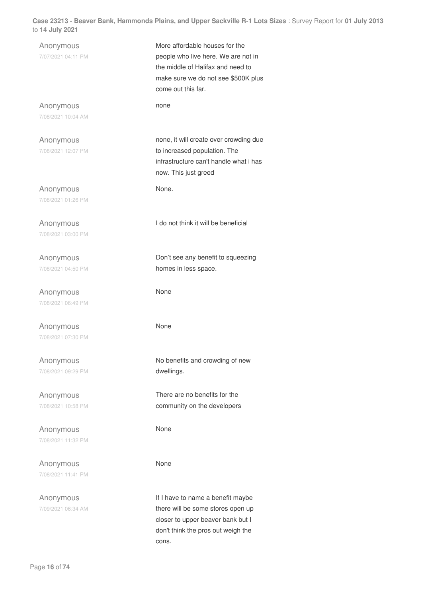| Anonymous          | More affordable houses for the         |
|--------------------|----------------------------------------|
| 7/07/2021 04:11 PM | people who live here. We are not in    |
|                    |                                        |
|                    | the middle of Halifax and need to      |
|                    | make sure we do not see \$500K plus    |
|                    | come out this far.                     |
|                    |                                        |
| Anonymous          | none                                   |
| 7/08/2021 10:04 AM |                                        |
|                    |                                        |
|                    |                                        |
| Anonymous          | none, it will create over crowding due |
| 7/08/2021 12:07 PM | to increased population. The           |
|                    |                                        |
|                    | infrastructure can't handle what i has |
|                    | now. This just greed                   |
|                    |                                        |
| Anonymous          | None.                                  |
| 7/08/2021 01:26 PM |                                        |
|                    |                                        |
|                    | I do not think it will be beneficial   |
| Anonymous          |                                        |
| 7/08/2021 03:00 PM |                                        |
|                    |                                        |
| Anonymous          | Don't see any benefit to squeezing     |
|                    |                                        |
| 7/08/2021 04:50 PM | homes in less space.                   |
|                    |                                        |
| Anonymous          | None                                   |
| 7/08/2021 06:49 PM |                                        |
|                    |                                        |
|                    |                                        |
| Anonymous          | None                                   |
| 7/08/2021 07:30 PM |                                        |
|                    |                                        |
|                    |                                        |
| Anonymous          | No benefits and crowding of new        |
| 7/08/2021 09:29 PM | dwellings.                             |
|                    |                                        |
|                    |                                        |
| Anonymous          | There are no benefits for the          |
| 7/08/2021 10:58 PM | community on the developers            |
|                    |                                        |
|                    | None                                   |
| Anonymous          |                                        |
| 7/08/2021 11:32 PM |                                        |
|                    |                                        |
| Anonymous          | None                                   |
| 7/08/2021 11:41 PM |                                        |
|                    |                                        |
|                    |                                        |
| Anonymous          | If I have to name a benefit maybe      |
| 7/09/2021 06:34 AM | there will be some stores open up      |
|                    | closer to upper beaver bank but I      |
|                    |                                        |
|                    | don't think the pros out weigh the     |
|                    | cons.                                  |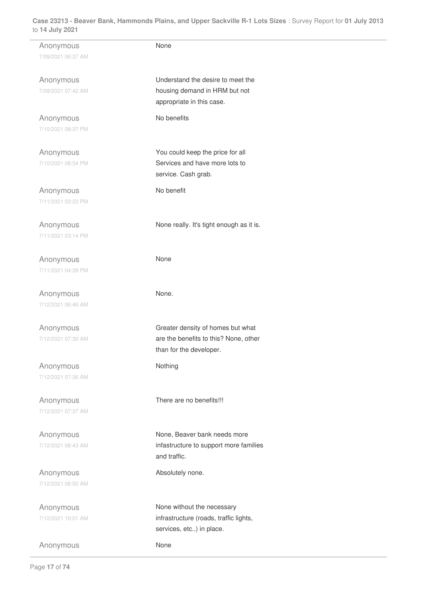| Anonymous          | None                                     |
|--------------------|------------------------------------------|
| 7/09/2021 06:37 AM |                                          |
|                    |                                          |
|                    |                                          |
| Anonymous          | Understand the desire to meet the        |
| 7/09/2021 07:42 AM | housing demand in HRM but not            |
|                    | appropriate in this case.                |
|                    |                                          |
| Anonymous          | No benefits                              |
|                    |                                          |
| 7/10/2021 08:37 PM |                                          |
|                    |                                          |
| Anonymous          | You could keep the price for all         |
|                    |                                          |
| 7/10/2021 08:54 PM | Services and have more lots to           |
|                    | service. Cash grab.                      |
|                    |                                          |
| Anonymous          | No benefit                               |
| 7/11/2021 02:22 PM |                                          |
|                    |                                          |
|                    |                                          |
| Anonymous          | None really. It's tight enough as it is. |
| 7/11/2021 03:14 PM |                                          |
|                    |                                          |
|                    |                                          |
| Anonymous          | None                                     |
|                    |                                          |
| 7/11/2021 04:39 PM |                                          |
|                    |                                          |
| Anonymous          | None.                                    |
|                    |                                          |
| 7/12/2021 06:46 AM |                                          |
|                    |                                          |
| Anonymous          | Greater density of homes but what        |
|                    |                                          |
| 7/12/2021 07:30 AM | are the benefits to this? None, other    |
|                    | than for the developer.                  |
|                    |                                          |
| Anonymous          | Nothing                                  |
| 7/12/2021 07:36 AM |                                          |
|                    |                                          |
|                    |                                          |
| Anonymous          | There are no benefits!!!                 |
| 7/12/2021 07:37 AM |                                          |
|                    |                                          |
|                    |                                          |
| Anonymous          | None, Beaver bank needs more             |
|                    |                                          |
| 7/12/2021 08:43 AM | infastructure to support more families   |
|                    | and traffic.                             |
|                    |                                          |
| Anonymous          | Absolutely none.                         |
| 7/12/2021 08:50 AM |                                          |
|                    |                                          |
|                    |                                          |
| Anonymous          | None without the necessary               |
| 7/12/2021 10:01 AM | infrastructure (roads, traffic lights,   |
|                    |                                          |
|                    | services, etc) in place.                 |
|                    |                                          |
| Anonymous          | None                                     |
|                    |                                          |

 $\overline{\phantom{a}}$ 

L.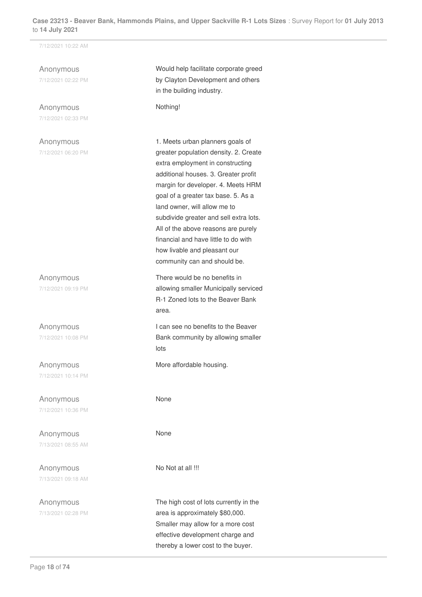7/12/2021 10:22 AM

Anonymous 7/12/2021 02:22 PM

Anonymous 7/12/2021 02:33 PM

Anonymous 7/12/2021 06:20 PM

Anonymous 7/12/2021 09:19 PM

Anonymous 7/12/2021 10:08 PM

Anonymous 7/12/2021 10:14 PM

Anonymous 7/12/2021 10:36 PM

Anonymous 7/13/2021 08:55 AM

Anonymous 7/13/2021 09:18 AM

Anonymous 7/13/2021 02:28 PM Would help facilitate corporate greed by Clayton Development and others in the building industry.

Nothing!

1. Meets urban planners goals of greater population density. 2. Create extra employment in constructing additional houses. 3. Greater profit margin for developer. 4. Meets HRM goal of a greater tax base. 5. As a land owner, will allow me to subdivide greater and sell extra lots. All of the above reasons are purely financial and have little to do with how livable and pleasant our community can and should be.

There would be no benefits in allowing smaller Municipally serviced R-1 Zoned lots to the Beaver Bank area.

I can see no benefits to the Beaver Bank community by allowing smaller lots

More affordable housing.

None

None

No Not at all !!!

The high cost of lots currently in the area is approximately \$80,000. Smaller may allow for a more cost effective development charge and thereby a lower cost to the buyer.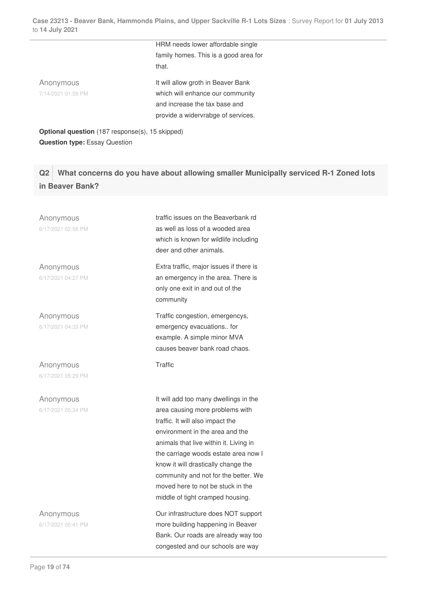HRM needs lower affordable single family homes. This is a good area for that. Anonymous 7/14/2021 01:59 PM It will allow groth in Beaver Bank which will enhance our community and increase the tax base and provide a widervrabge of services.

**Optional question** (187 response(s), 15 skipped) **Question type:** Essay Question

**Q2 What concerns do you have about allowing smaller Municipally serviced R-1 Zoned lots in Beaver Bank?**

Anonymous 6/17/2021 02:58 PM

Anonymous 6/17/2021 04:27 PM

Anonymous 6/17/2021 04:33 PM

Anonymous 6/17/2021 05:29 PM

Anonymous 6/17/2021 05:34 PM

Anonymous

6/17/2021 05:41 PM

traffic issues on the Beaverbank rd as well as loss of a wooded area which is known for wildlife including deer and other animals.

Extra traffic, major issues if there is an emergency in the area. There is only one exit in and out of the community

Traffic congestion, emergencys, emergency evacuations.. for example. A simple minor MVA causes beaver bank road chaos.

**Traffic** 

It will add too many dwellings in the area causing more problems with traffic. It will also impact the environment in the area and the animals that live within it. Living in the carriage woods estate area now I know it will drastically change the community and not for the better. We moved here to not be stuck in the middle of tight cramped housing.

Our infrastructure does NOT support more building happening in Beaver Bank. Our roads are already way too congested and our schools are way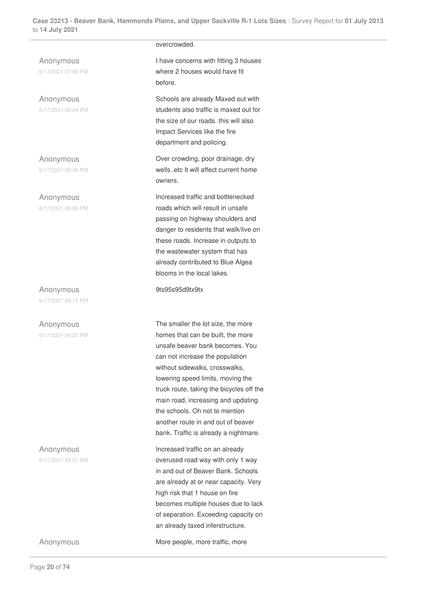Anonymous 6/17/2021 07:08 PM

Anonymous 6/17/2021 08:04 PM

Anonymous 6/17/2021 08:48 PM

Anonymous 6/17/2021 09:09 PM

Anonymous 6/17/2021 09:15 PM

Anonymous

6/17/2021 09:20 PM

Anonymous 6/17/2021 09:57 PM

Page **20** of **74**

overcrowded.

I have concerns with fitting 3 houses where 2 houses would have fit before.

Schools are already Maxed out with students also traffic is maxed out for the size of our roads. this will also Impact Services like the fire department and policing.

Over crowding, poor drainage, dry wells..etc It will affect current home owners.

Increased traffic and bottlenecked roads which will result in unsafe passing on highway shoulders and danger to residents that walk/live on these roads. Increase in outputs to the wastewater system that has already contributed to Blue Algea blooms in the local lakes.

9ts95s95d9tx9tx

The smaller the lot size, the more homes that can be built, the more unsafe beaver bank becomes. You can not increase the population without sidewalks, crosswalks, lowering speed limits, moving the truck route, taking the bicycles off the main road, increasing and updating the schools. Oh not to mention another route in and out of beaver bank. Traffic is already a nightmare.

Increased traffic on an already overused road way with only 1 way in and out of Beaver Bank. Schools are already at or near capacity. Very high risk that 1 house on fire becomes multiple houses due to lack of separation. Exceeding capacity on an already taxed inferstructure.

Anonymous **More people, more traffic, more**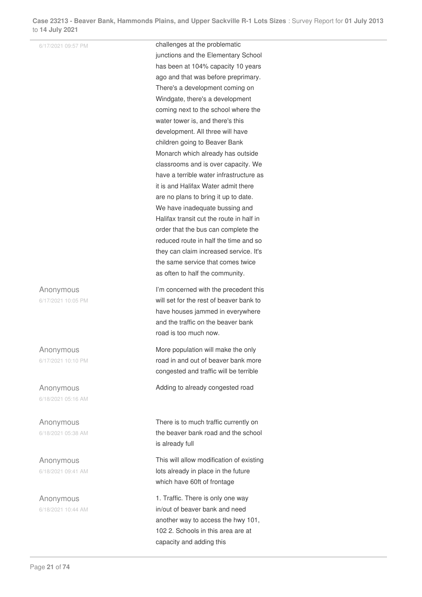6/17/2021 09:57 PM **challenges at the problematic** junctions and the Elementary School has been at 104% capacity 10 years ago and that was before preprimary. There's a development coming on Windgate, there's a development coming next to the school where the water tower is, and there's this development. All three will have children going to Beaver Bank Monarch which already has outside classrooms and is over capacity. We have a terrible water infrastructure as it is and Halifax Water admit there are no plans to bring it up to date. We have inadequate bussing and Halifax transit cut the route in half in order that the bus can complete the reduced route in half the time and so they can claim increased service. It's the same service that comes twice as often to half the community. Anonymous 6/17/2021 10:05 PM I'm concerned with the precedent this will set for the rest of beaver bank to have houses jammed in everywhere and the traffic on the beaver bank road is too much now. Anonymous 6/17/2021 10:10 PM More population will make the only road in and out of beaver bank more congested and traffic will be terrible Anonymous 6/18/2021 05:16 AM Adding to already congested road Anonymous 6/18/2021 05:38 AM There is to much traffic currently on the beaver bank road and the school is already full Anonymous 6/18/2021 09:41 AM This will allow modification of existing lots already in place in the future which have 60ft of frontage Anonymous 6/18/2021 10:44 AM 1. Traffic. There is only one way in/out of beaver bank and need

another way to access the hwy 101, 102 2. Schools in this area are at capacity and adding this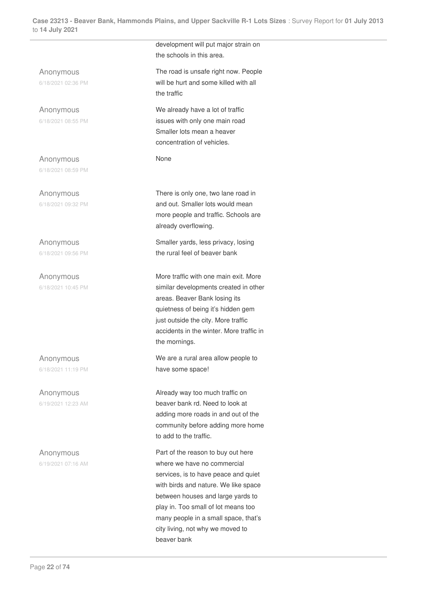Anonymous 6/18/2021 02:36 PM

Anonymous 6/18/2021 08:55 PM

Anonymous 6/18/2021 08:59 PM

Anonymous 6/18/2021 09:32 PM

Anonymous 6/18/2021 09:56 PM

Anonymous 6/18/2021 10:45 PM

Anonymous 6/18/2021 11:19 PM

Anonymous 6/19/2021 12:23 AM

Anonymous 6/19/2021 07:16 AM development will put major strain on the schools in this area.

The road is unsafe right now. People will be hurt and some killed with all the traffic

We already have a lot of traffic issues with only one main road Smaller lots mean a heaver concentration of vehicles.

None

There is only one, two lane road in and out. Smaller lots would mean more people and traffic. Schools are already overflowing.

Smaller yards, less privacy, losing the rural feel of beaver bank

More traffic with one main exit. More similar developments created in other areas. Beaver Bank losing its quietness of being it's hidden gem just outside the city. More traffic accidents in the winter. More traffic in the mornings.

We are a rural area allow people to have some space!

Already way too much traffic on beaver bank rd. Need to look at adding more roads in and out of the community before adding more home to add to the traffic.

Part of the reason to buy out here where we have no commercial services, is to have peace and quiet with birds and nature. We like space between houses and large yards to play in. Too small of lot means too many people in a small space, that's city living, not why we moved to beaver bank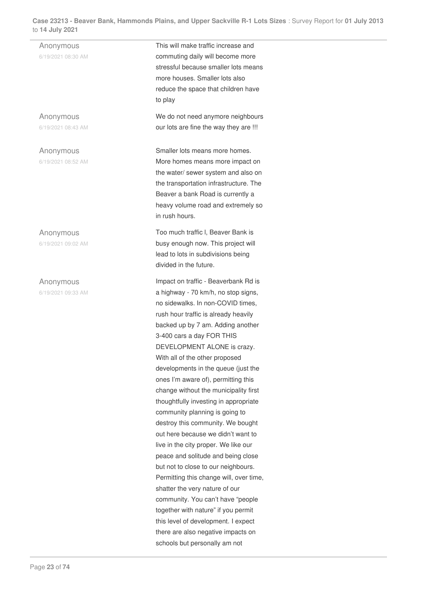Anonymous 6/19/2021 08:30 AM This will make traffic increase and commuting daily will become more stressful because smaller lots means more houses. Smaller lots also reduce the space that children have to play Anonymous 6/19/2021 08:43 AM We do not need anymore neighbours our lots are fine the way they are !!! Anonymous 6/19/2021 08:52 AM Smaller lots means more homes. More homes means more impact on the water/ sewer system and also on the transportation infrastructure. The Beaver a bank Road is currently a heavy volume road and extremely so in rush hours. Anonymous 6/19/2021 09:02 AM Too much traffic l, Beaver Bank is busy enough now. This project will lead to lots in subdivisions being divided in the future. Anonymous 6/19/2021 09:33 AM Impact on traffic - Beaverbank Rd is a highway - 70 km/h, no stop signs, no sidewalks. In non-COVID times, rush hour traffic is already heavily backed up by 7 am. Adding another 3-400 cars a day FOR THIS DEVELOPMENT ALONE is crazy. With all of the other proposed developments in the queue (just the ones I'm aware of), permitting this change without the municipality first thoughtfully investing in appropriate community planning is going to destroy this community. We bought out here because we didn't want to live in the city proper. We like our peace and solitude and being close but not to close to our neighbours. Permitting this change will, over time, shatter the very nature of our community. You can't have "people together with nature" if you permit this level of development. I expect there are also negative impacts on

schools but personally am not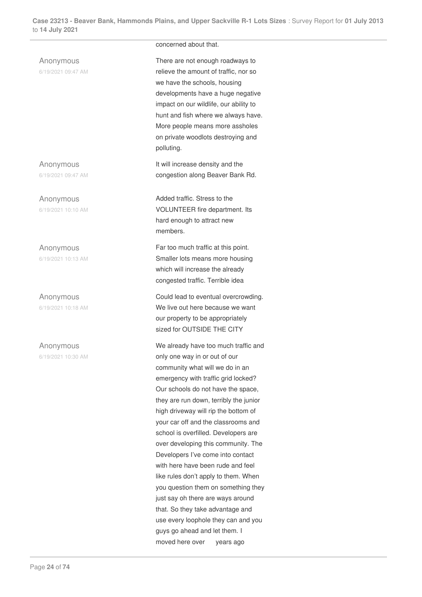|                                 | concerned about that.                                                                                                                                                                                                                                                                                                                                                                                                                                                                                                                                                                                                                                                                                                                   |
|---------------------------------|-----------------------------------------------------------------------------------------------------------------------------------------------------------------------------------------------------------------------------------------------------------------------------------------------------------------------------------------------------------------------------------------------------------------------------------------------------------------------------------------------------------------------------------------------------------------------------------------------------------------------------------------------------------------------------------------------------------------------------------------|
| Anonymous<br>6/19/2021 09:47 AM | There are not enough roadways to<br>relieve the amount of traffic, nor so<br>we have the schools, housing<br>developments have a huge negative<br>impact on our wildlife, our ability to<br>hunt and fish where we always have.<br>More people means more assholes<br>on private woodlots destroying and<br>polluting.                                                                                                                                                                                                                                                                                                                                                                                                                  |
| Anonymous<br>6/19/2021 09:47 AM | It will increase density and the<br>congestion along Beaver Bank Rd.                                                                                                                                                                                                                                                                                                                                                                                                                                                                                                                                                                                                                                                                    |
| Anonymous<br>6/19/2021 10:10 AM | Added traffic. Stress to the<br>VOLUNTEER fire department. Its<br>hard enough to attract new<br>members.                                                                                                                                                                                                                                                                                                                                                                                                                                                                                                                                                                                                                                |
| Anonymous<br>6/19/2021 10:13 AM | Far too much traffic at this point.<br>Smaller lots means more housing<br>which will increase the already<br>congested traffic. Terrible idea                                                                                                                                                                                                                                                                                                                                                                                                                                                                                                                                                                                           |
| Anonymous<br>6/19/2021 10:18 AM | Could lead to eventual overcrowding.<br>We live out here because we want<br>our property to be appropriately<br>sized for OUTSIDE THE CITY                                                                                                                                                                                                                                                                                                                                                                                                                                                                                                                                                                                              |
| Anonymous<br>6/19/2021 10:30 AM | We already have too much traffic and<br>only one way in or out of our<br>community what will we do in an<br>emergency with traffic grid locked?<br>Our schools do not have the space,<br>they are run down, terribly the junior<br>high driveway will rip the bottom of<br>your car off and the classrooms and<br>school is overfilled. Developers are<br>over developing this community. The<br>Developers I've come into contact<br>with here have been rude and feel<br>like rules don't apply to them. When<br>you question them on something they<br>just say oh there are ways around<br>that. So they take advantage and<br>use every loophole they can and you<br>guys go ahead and let them. I<br>moved here over<br>years ago |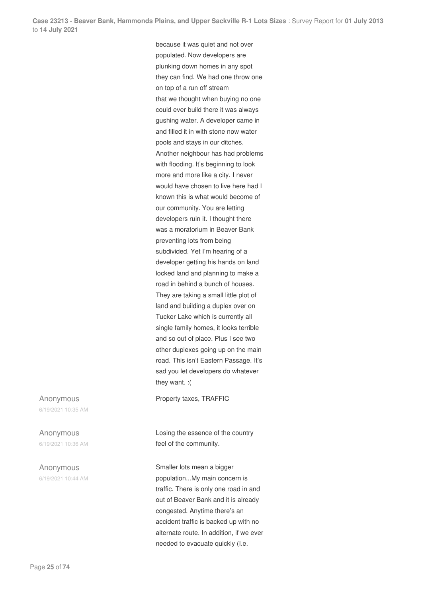because it was quiet and not over populated. Now developers are plunking down homes in any spot they can find. We had one throw one on top of a run off stream that we thought when buying no one could ever build there it was always gushing water. A developer came in and filled it in with stone now water pools and stays in our ditches. Another neighbour has had problems with flooding. It's beginning to look more and more like a city. I never would have chosen to live here had I known this is what would become of our community. You are letting developers ruin it. I thought there was a moratorium in Beaver Bank preventing lots from being subdivided. Yet I'm hearing of a developer getting his hands on land locked land and planning to make a road in behind a bunch of houses. They are taking a small little plot of land and building a duplex over on Tucker Lake which is currently all single family homes, it looks terrible and so out of place. Plus I see two other duplexes going up on the main road. This isn't Eastern Passage. It's sad you let developers do whatever they want. :(

Property taxes, TRAFFIC

Losing the essence of the country feel of the community.

Smaller lots mean a bigger population...My main concern is traffic. There is only one road in and out of Beaver Bank and it is already congested. Anytime there's an accident traffic is backed up with no alternate route. In addition, if we ever needed to evacuate quickly (I.e.

Anonymous 6/19/2021 10:35 AM

Anonymous 6/19/2021 10:36 AM

Anonymous 6/19/2021 10:44 AM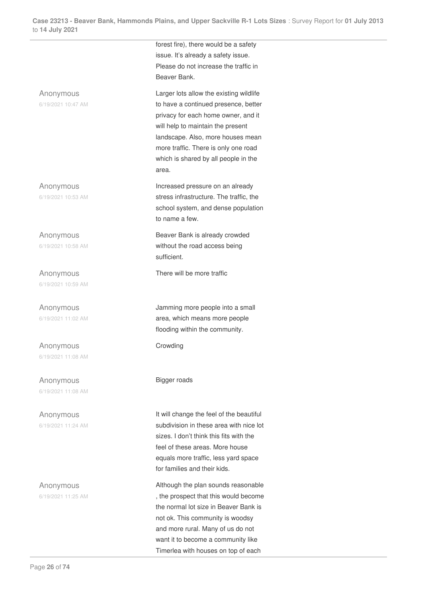

Timerlea with houses on top of each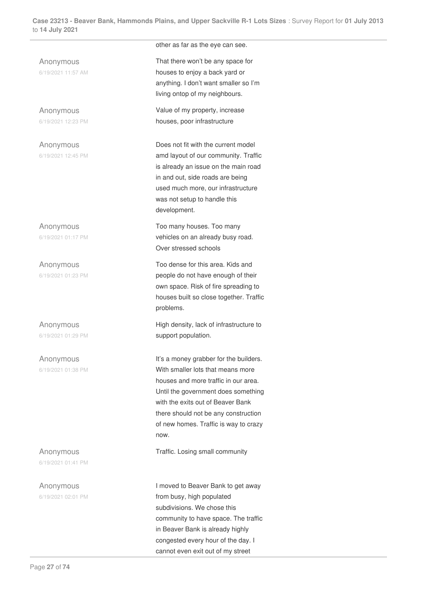Anonymous 6/19/2021 11:57 AM

Anonymous 6/19/2021 12:23 PM

Anonymous 6/19/2021 12:45 PM

Anonymous 6/19/2021 01:17 PM

Anonymous 6/19/2021 01:23 PM

Anonymous 6/19/2021 01:29 PM

Anonymous 6/19/2021 01:38 PM

Anonymous 6/19/2021 01:41 PM

Anonymous 6/19/2021 02:01 PM other as far as the eye can see.

That there won't be any space for houses to enjoy a back yard or anything. I don't want smaller so I'm living ontop of my neighbours.

Value of my property, increase houses, poor infrastructure

Does not fit with the current model amd layout of our community. Traffic is already an issue on the main road in and out, side roads are being used much more, our infrastructure was not setup to handle this development.

Too many houses. Too many vehicles on an already busy road. Over stressed schools

Too dense for this area. Kids and people do not have enough of their own space. Risk of fire spreading to houses built so close together. Traffic problems.

High density, lack of infrastructure to support population.

It's a money grabber for the builders. With smaller lots that means more houses and more traffic in our area. Until the government does something with the exits out of Beaver Bank there should not be any construction of new homes. Traffic is way to crazy now.

Traffic. Losing small community

I moved to Beaver Bank to get away from busy, high populated subdivisions. We chose this community to have space. The traffic in Beaver Bank is already highly congested every hour of the day. I cannot even exit out of my street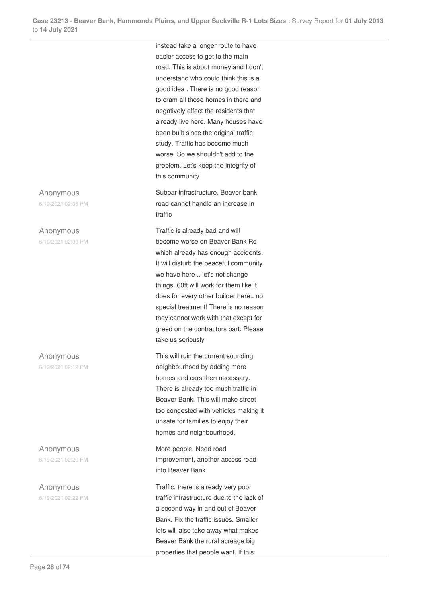Anonymous

6/19/2021 02:08 PM

#### Anonymous

6/19/2021 02:09 PM

Anonymous 6/19/2021 02:12 PM

Anonymous 6/19/2021 02:20 PM

Anonymous 6/19/2021 02:22 PM instead take a longer route to have easier access to get to the main road. This is about money and I don't understand who could think this is a good idea . There is no good reason to cram all those homes in there and negatively effect the residents that already live here. Many houses have been built since the original traffic study. Traffic has become much worse. So we shouldn't add to the problem. Let's keep the integrity of this community

Subpar infrastructure. Beaver bank road cannot handle an increase in traffic

Traffic is already bad and will become worse on Beaver Bank Rd which already has enough accidents. It will disturb the peaceful community we have here .. let's not change things, 60ft will work for them like it does for every other builder here.. no special treatment! There is no reason they cannot work with that except for greed on the contractors part. Please take us seriously

This will ruin the current sounding neighbourhood by adding more homes and cars then necessary. There is already too much traffic in Beaver Bank. This will make street too congested with vehicles making it unsafe for families to enjoy their homes and neighbourhood.

More people. Need road improvement, another access road into Beaver Bank.

Traffic, there is already very poor traffic infrastructure due to the lack of a second way in and out of Beaver Bank. Fix the traffic issues. Smaller lots will also take away what makes Beaver Bank the rural acreage big properties that people want. If this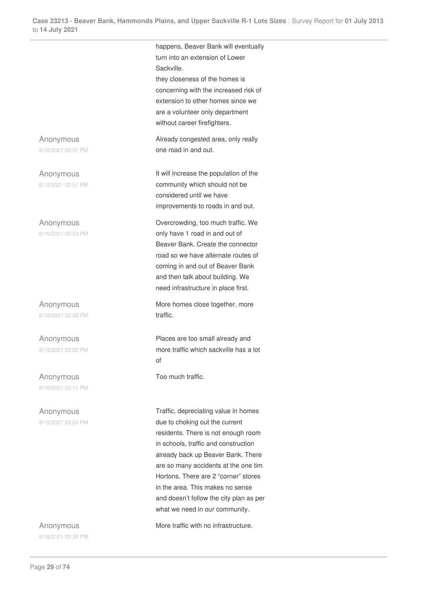happens, Beaver Bank will eventually

Anonymous 6/19/2021 02:31 PM

Anonymous 6/19/2021 02:51 PM

Anonymous 6/19/2021 02:53 PM

Anonymous 6/19/2021 02:58 PM

Anonymous 6/19/2021 03:02 PM

Anonymous 6/19/2021 03:11 PM

Anonymous 6/19/2021 03:24 PM

Anonymous 6/19/2021 03:39 PM turn into an extension of Lower Sackville. they closeness of the homes is concerning with the increased risk of extension to other homes since we are a volunteer only department without career firefighters. Already congested area, only really one road in and out. It will increase the population of the community which should not be considered until we have improvements to roads in and out. Overcrowding, too much traffic. We

only have 1 road in and out of Beaver Bank. Create the connector road so we have alternate routes of coming in and out of Beaver Bank and then talk about building. We need infrastructure in place first.

More homes close together, more traffic.

Places are too small already and more traffic which sackville has a lot of

Too much traffic.

Traffic, depreciating value in homes due to choking out the current residents. There is not enough room in schools, traffic and construction already back up Beaver Bank. There are so many accidents at the one tim Hortons. There are 2 "corner" stores in the area. This makes no sense and doesn't follow the city plan as per what we need in our community.

More traffic with no infrastructure.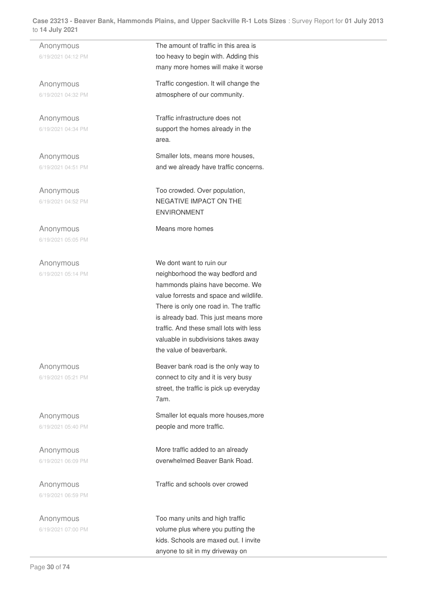Anonymous 6/19/2021 04:12 PM

Anonymous 6/19/2021 04:32 PM

Anonymous 6/19/2021 04:34 PM

Anonymous 6/19/2021 04:51 PM

Anonymous 6/19/2021 04:52 PM

Anonymous 6/19/2021 05:05 PM

Anonymous 6/19/2021 05:14 PM

Anonymous 6/19/2021 05:21 PM

Anonymous 6/19/2021 05:40 PM

Anonymous 6/19/2021 06:09 PM

Anonymous 6/19/2021 06:59 PM

Anonymous 6/19/2021 07:00 PM The amount of traffic in this area is too heavy to begin with. Adding this many more homes will make it worse Traffic congestion. It will change the atmosphere of our community.

Traffic infrastructure does not support the homes already in the area.

Smaller lots, means more houses, and we already have traffic concerns.

Too crowded. Over population, NEGATIVE IMPACT ON THE ENVIRONMENT

Means more homes

We dont want to ruin our neighborhood the way bedford and hammonds plains have become. We value forrests and space and wildlife. There is only one road in. The traffic is already bad. This just means more traffic. And these small lots with less valuable in subdivisions takes away the value of beaverbank.

Beaver bank road is the only way to connect to city and it is very busy street, the traffic is pick up everyday 7am.

Smaller lot equals more houses,more people and more traffic.

More traffic added to an already overwhelmed Beaver Bank Road.

Traffic and schools over crowed

Too many units and high traffic volume plus where you putting the kids. Schools are maxed out. I invite anyone to sit in my driveway on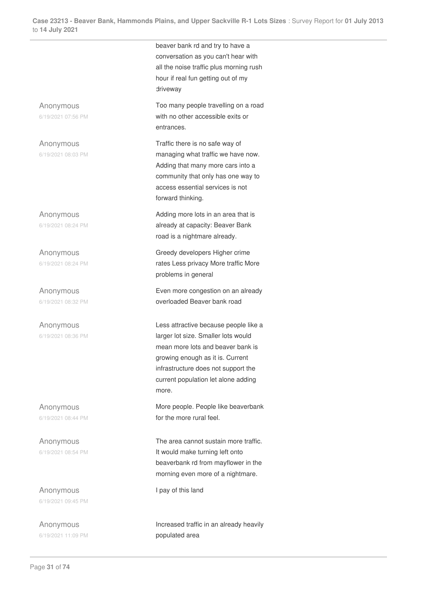beaver bank rd and try to have a conversation as you can't hear with all the noise traffic plus morning rush hour if real fun getting out of my driveway Anonymous 6/19/2021 07:56 PM Too many people travelling on a road with no other accessible exits or entrances. Anonymous 6/19/2021 08:03 PM Traffic there is no safe way of managing what traffic we have now. Adding that many more cars into a community that only has one way to access essential services is not forward thinking. Anonymous 6/19/2021 08:24 PM Adding more lots in an area that is already at capacity: Beaver Bank road is a nightmare already. Anonymous 6/19/2021 08:24 PM Greedy developers Higher crime rates Less privacy More traffic More problems in general Anonymous 6/19/2021 08:32 PM Even more congestion on an already overloaded Beaver bank road Anonymous 6/19/2021 08:36 PM Less attractive because people like a larger lot size. Smaller lots would mean more lots and beaver bank is growing enough as it is. Current infrastructure does not support the current population let alone adding more. Anonymous 6/19/2021 08:44 PM More people. People like beaverbank for the more rural feel. Anonymous 6/19/2021 08:54 PM The area cannot sustain more traffic. It would make turning left onto beaverbank rd from mayflower in the morning even more of a nightmare. Anonymous I pay of this land

> Increased traffic in an already heavily populated area

6/19/2021 09:45 PM

Anonymous 6/19/2021 11:09 PM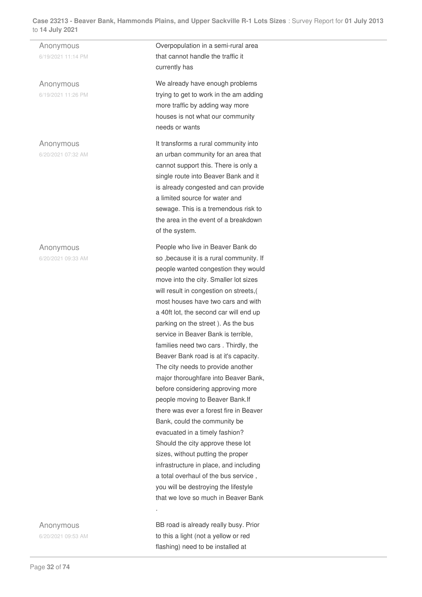Anonymous 6/19/2021 11:14 PM

Anonymous 6/19/2021 11:26 PM

Anonymous 6/20/2021 07:32 AM

#### Anonymous

6/20/2021 09:33 AM

Anonymous

6/20/2021 09:53 AM

Overpopulation in a semi-rural area that cannot handle the traffic it currently has

We already have enough problems trying to get to work in the am adding more traffic by adding way more houses is not what our community needs or wants

It transforms a rural community into an urban community for an area that cannot support this. There is only a single route into Beaver Bank and it is already congested and can provide a limited source for water and sewage. This is a tremendous risk to the area in the event of a breakdown of the system.

People who live in Beaver Bank do so ,because it is a rural community. If people wanted congestion they would move into the city. Smaller lot sizes will result in congestion on streets,( most houses have two cars and with a 40ft lot, the second car will end up parking on the street ). As the bus service in Beaver Bank is terrible, families need two cars . Thirdly, the Beaver Bank road is at it's capacity. The city needs to provide another major thoroughfare into Beaver Bank, before considering approving more people moving to Beaver Bank.If there was ever a forest fire in Beaver Bank, could the community be evacuated in a timely fashion? Should the city approve these lot sizes, without putting the proper infrastructure in place, and including a total overhaul of the bus service , you will be destroying the lifestyle that we love so much in Beaver Bank

BB road is already really busy. Prior to this a light (not a yellow or red flashing) need to be installed at

.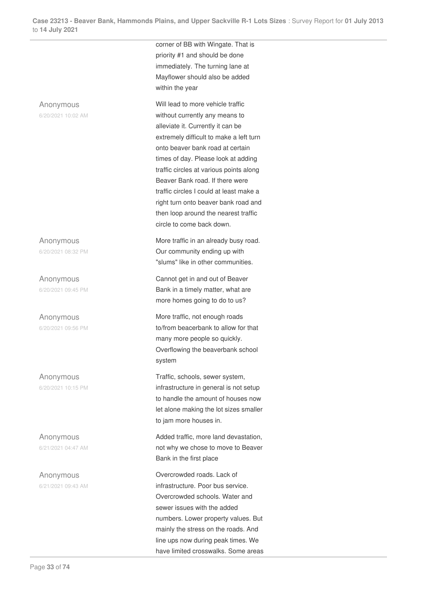Anonymous

6/20/2021 10:02 AM

Anonymous 6/20/2021 08:32 PM

Anonymous 6/20/2021 09:45 PM

Anonymous 6/20/2021 09:56 PM

Anonymous 6/20/2021 10:15 PM

Anonymous 6/21/2021 04:47 AM

Anonymous 6/21/2021 09:43 AM corner of BB with Wingate. That is priority #1 and should be done immediately. The turning lane at Mayflower should also be added within the year

Will lead to more vehicle traffic without currently any means to alleviate it. Currently it can be extremely difficult to make a left turn onto beaver bank road at certain times of day. Please look at adding traffic circles at various points along Beaver Bank road. If there were traffic circles I could at least make a right turn onto beaver bank road and then loop around the nearest traffic circle to come back down.

More traffic in an already busy road. Our community ending up with "slums" like in other communities.

Cannot get in and out of Beaver Bank in a timely matter, what are more homes going to do to us?

More traffic, not enough roads to/from beacerbank to allow for that many more people so quickly. Overflowing the beaverbank school system

Traffic, schools, sewer system, infrastructure in general is not setup to handle the amount of houses now let alone making the lot sizes smaller to jam more houses in.

Added traffic, more land devastation, not why we chose to move to Beaver Bank in the first place

Overcrowded roads. Lack of infrastructure. Poor bus service. Overcrowded schools. Water and sewer issues with the added numbers. Lower property values. But mainly the stress on the roads. And line ups now during peak times. We have limited crosswalks. Some areas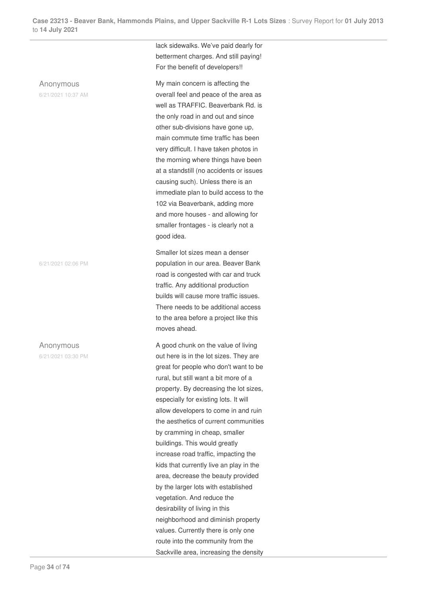#### Anonymous

6/21/2021 10:37 AM

6/21/2021 02:06 PM

Anonymous

6/21/2021 03:30 PM

lack sidewalks. We've paid dearly for betterment charges. And still paying! For the benefit of developers!!

My main concern is affecting the overall feel and peace of the area as well as TRAFFIC. Beaverbank Rd. is the only road in and out and since other sub-divisions have gone up, main commute time traffic has been very difficult. I have taken photos in the morning where things have been at a standstill (no accidents or issues causing such). Unless there is an immediate plan to build access to the 102 via Beaverbank, adding more and more houses - and allowing for smaller frontages - is clearly not a good idea.

Smaller lot sizes mean a denser population in our area. Beaver Bank road is congested with car and truck traffic. Any additional production builds will cause more traffic issues. There needs to be additional access to the area before a project like this moves ahead.

A good chunk on the value of living out here is in the lot sizes. They are great for people who don't want to be rural, but still want a bit more of a property. By decreasing the lot sizes, especially for existing lots. It will allow developers to come in and ruin the aesthetics of current communities by cramming in cheap, smaller buildings. This would greatly increase road traffic, impacting the kids that currently live an play in the area, decrease the beauty provided by the larger lots with established vegetation. And reduce the desirability of living in this neighborhood and diminish property values. Currently there is only one route into the community from the Sackville area, increasing the density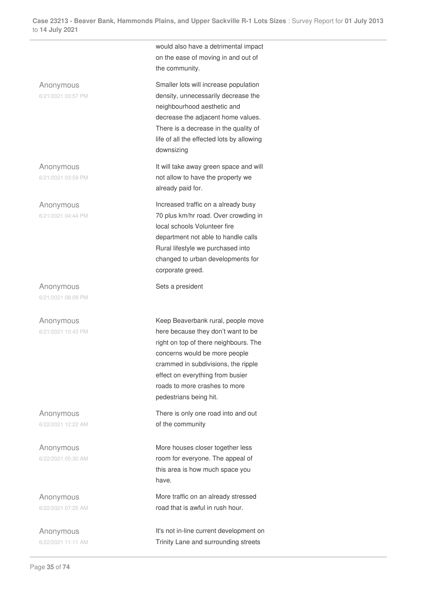would also have a detrimental impact on the ease of moving in and out of the community. Anonymous 6/21/2021 03:57 PM Smaller lots will increase population density, unnecessarily decrease the neighbourhood aesthetic and decrease the adjacent home values. There is a decrease in the quality of life of all the effected lots by allowing downsizing Anonymous 6/21/2021 03:59 PM It will take away green space and will not allow to have the property we already paid for. Anonymous 6/21/2021 04:44 PM Increased traffic on a already busy 70 plus km/hr road. Over crowding in local schools Volunteer fire department not able to handle calls Rural lifestyle we purchased into changed to urban developments for corporate greed. Anonymous 6/21/2021 08:09 PM Sets a president Anonymous 6/21/2021 10:43 PM Keep Beaverbank rural, people move here because they don't want to be right on top of there neighbours. The concerns would be more people crammed in subdivisions, the ripple effect on everything from busier roads to more crashes to more pedestrians being hit. Anonymous 6/22/2021 12:22 AM There is only one road into and out of the community Anonymous 6/22/2021 05:30 AM More houses closer together less room for everyone. The appeal of

this area is how much space you

More traffic on an already stressed road that is awful in rush hour.

It's not in-line current development on Trinity Lane and surrounding streets

have.

Anonymous 6/22/2021 07:25 AM

Anonymous 6/22/2021 11:11 AM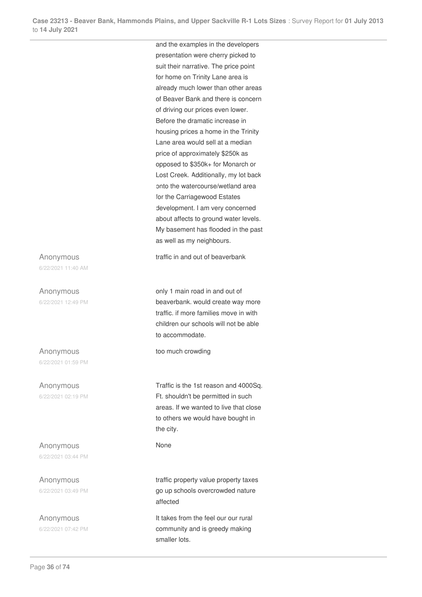and the examples in the developers presentation were cherry picked to suit their narrative. The price point for home on Trinity Lane area is already much lower than other areas of Beaver Bank and there is concern of driving our prices even lower. Before the dramatic increase in housing prices a home in the Trinity Lane area would sell at a median price of approximately \$250k as opposed to \$350k+ for Monarch or Lost Creek. Additionally, my lot back onto the watercourse/wetland area for the Carriagewood Estates development. I am very concerned about affects to ground water levels. My basement has flooded in the past as well as my neighbours.

traffic in and out of beaverbank

only 1 main road in and out of beaverbank. would create way more traffic. if more families move in with children our schools will not be able to accommodate.

too much crowding

Traffic is the 1st reason and 4000Sq. Ft. shouldn't be permitted in such areas. If we wanted to live that close to others we would have bought in the city.

None

traffic property value property taxes go up schools overcrowded nature affected

It takes from the feel our our rural community and is greedy making smaller lots.

Anonymous 6/22/2021 11:40 AM

Anonymous 6/22/2021 12:49 PM

Anonymous 6/22/2021 01:59 PM

Anonymous 6/22/2021 02:19 PM

Anonymous 6/22/2021 03:44 PM

Anonymous 6/22/2021 03:49 PM

Anonymous 6/22/2021 07:42 PM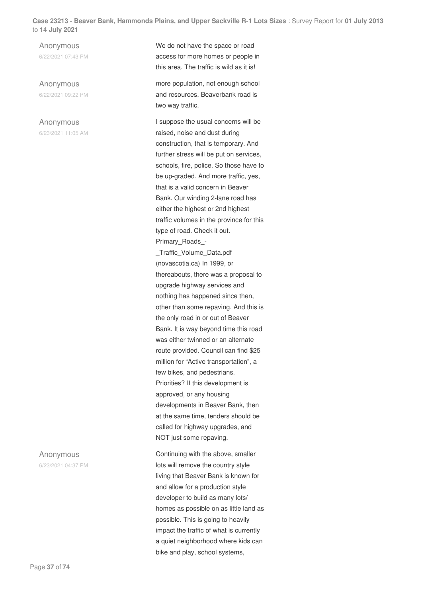Anonymous 6/22/2021 07:43 PM

Anonymous 6/22/2021 09:22 PM

# Anonymous

6/23/2021 11:05 AM

We do not have the space or road access for more homes or people in this area. The traffic is wild as it is!

more population, not enough school and resources. Beaverbank road is two way traffic.

I suppose the usual concerns will be raised, noise and dust during construction, that is temporary. And further stress will be put on services, schools, fire, police. So those have to be up-graded. And more traffic, yes, that is a valid concern in Beaver Bank. Our winding 2-lane road has either the highest or 2nd highest traffic volumes in the province for this type of road. Check it out.

Primary\_Roads\_-

\_Traffic\_Volume\_Data.pdf (novascotia.ca) In 1999, or thereabouts, there was a proposal to upgrade highway services and nothing has happened since then, other than some repaving. And this is the only road in or out of Beaver Bank. It is way beyond time this road was either twinned or an alternate route provided. Council can find \$25 million for "Active transportation", a few bikes, and pedestrians. Priorities? If this development is approved, or any housing developments in Beaver Bank, then at the same time, tenders should be called for highway upgrades, and NOT just some repaving.

Continuing with the above, smaller lots will remove the country style living that Beaver Bank is known for and allow for a production style developer to build as many lots/ homes as possible on as little land as possible. This is going to heavily impact the traffic of what is currently a quiet neighborhood where kids can bike and play, school systems,

Anonymous 6/23/2021 04:37 PM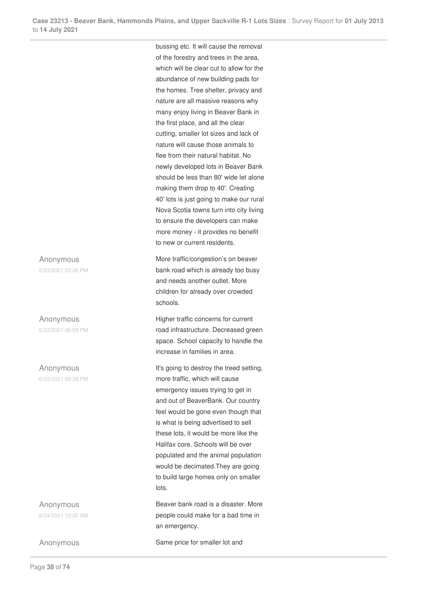Anonymous 6/23/2021 05:26 PM

Anonymous

6/23/2021 06:59 PM

Anonymous 6/23/2021 09:39 PM

Anonymous 6/24/2021 12:35 AM

bussing etc. It will cause the removal of the forestry and trees in the area, which will be clear cut to allow for the abundance of new building pads for the homes. Tree shelter, privacy and nature are all massive reasons why many enjoy living in Beaver Bank in the first place, and all the clear cutting, smaller lot sizes and lack of nature will cause those animals to flee from their natural habitat. No newly developed lots in Beaver Bank should be less than 80' wide let alone making them drop to 40'. Creating 40' lots is just going to make our rural Nova Scotia towns turn into city living to ensure the developers can make more money - it provides no benefit to new or current residents.

More traffic/congestion's on beaver bank road which is already too busy and needs another outlet. More children for already over crowded schools.

Higher traffic concerns for current road infrastructure. Decreased green space. School capacity to handle the increase in families in area.

It's going to destroy the treed setting, more traffic, which will cause emergency issues trying to get in and out of BeaverBank. Our country feel would be gone even though that is what is being advertised to sell these lots, it would be more like the Halifax core. Schools will be over populated and the animal population would be decimated.They are going to build large homes only on smaller lots.

Beaver bank road is a disaster. More people could make for a bad time in an emergency.

Anonymous Same price for smaller lot and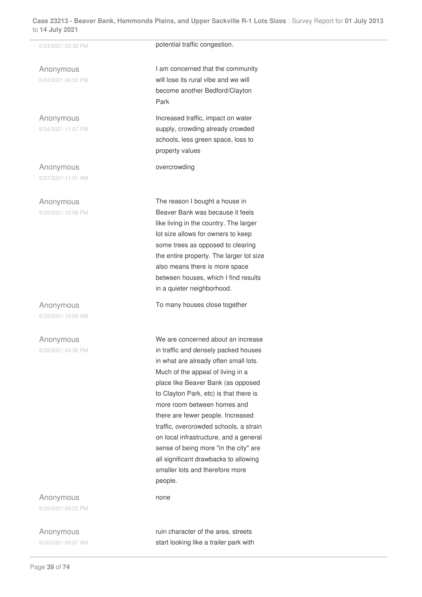Anonymous 6/24/2021 04:53 PM

Anonymous 6/24/2021 11:07 PM

Anonymous 6/27/2021 11:01 AM

Anonymous

6/28/2021 12:56 PM

Anonymous

6/29/2021 10:09 AM

Anonymous 6/29/2021 04:56 PM

Anonymous 6/29/2021 09:25 PM

Anonymous 6/30/2021 09:07 AM

6/24/2021 02:39 PM **potential traffic congestion.** 

I am concerned that the community will lose its rural vibe and we will become another Bedford/Clayton Park

Increased traffic, impact on water supply, crowding already crowded schools, less green space, loss to property values

overcrowding

The reason I bought a house in Beaver Bank was because it feels like living in the country. The larger lot size allows for owners to keep some trees as opposed to clearing the entire property. The larger lot size also means there is more space between houses, which I find results in a quieter neighborhood.

To many houses close together

We are concerned about an increase in traffic and densely packed houses in what are already often small lots. Much of the appeal of living in a place like Beaver Bank (as opposed to Clayton Park, etc) is that there is more room between homes and there are fewer people. Increased traffic, overcrowded schools, a strain on local infrastructure, and a general sense of being more "in the city" are all significant drawbacks to allowing smaller lots and therefore more people.

none

ruin character of the area. streets start looking like a trailer park with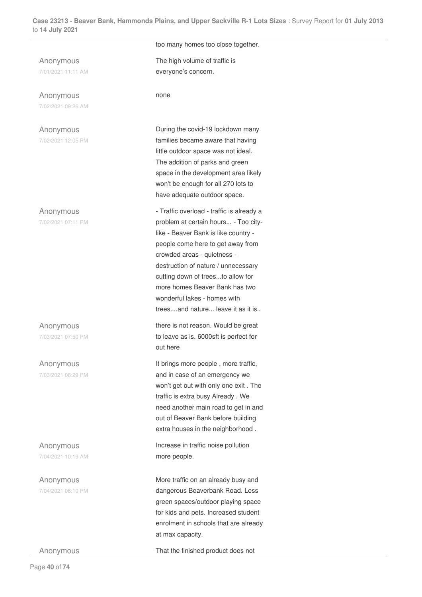Anonymous 7/01/2021 11:11 AM

Anonymous 7/02/2021 09:26 AM

Anonymous 7/02/2021 12:05 PM

Anonymous 7/02/2021 07:11 PM

Anonymous 7/03/2021 07:50 PM

Anonymous 7/03/2021 08:29 PM

Anonymous 7/04/2021 10:19 AM

Anonymous 7/04/2021 06:10 PM

too many homes too close together.

The high volume of traffic is everyone's concern.

none

During the covid-19 lockdown many families became aware that having little outdoor space was not ideal. The addition of parks and green space in the development area likely won't be enough for all 270 lots to have adequate outdoor space.

- Traffic overload - traffic is already a problem at certain hours... - Too citylike - Beaver Bank is like country people come here to get away from crowded areas - quietness destruction of nature / unnecessary cutting down of trees...to allow for more homes Beaver Bank has two wonderful lakes - homes with trees....and nature... leave it as it is..

there is not reason. Would be great to leave as is. 6000sft is perfect for out here

It brings more people , more traffic, and in case of an emergency we won't get out with only one exit . The traffic is extra busy Already . We need another main road to get in and out of Beaver Bank before building extra houses in the neighborhood .

Increase in traffic noise pollution more people.

More traffic on an already busy and dangerous Beaverbank Road. Less green spaces/outdoor playing space for kids and pets. Increased student enrolment in schools that are already at max capacity.

Anonymous That the finished product does not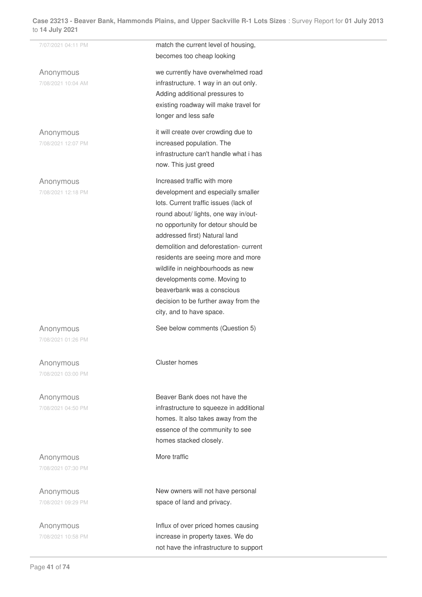| 7/07/2021 04:11 PM              | match the current level of housing,<br>becomes too cheap looking                                                                                                                                                                                                                                                                                                                                                                                                                |
|---------------------------------|---------------------------------------------------------------------------------------------------------------------------------------------------------------------------------------------------------------------------------------------------------------------------------------------------------------------------------------------------------------------------------------------------------------------------------------------------------------------------------|
| Anonymous<br>7/08/2021 10:04 AM | we currently have overwhelmed road<br>infrastructure. 1 way in an out only.<br>Adding additional pressures to<br>existing roadway will make travel for<br>longer and less safe                                                                                                                                                                                                                                                                                                  |
| Anonymous<br>7/08/2021 12:07 PM | it will create over crowding due to<br>increased population. The<br>infrastructure can't handle what i has<br>now. This just greed                                                                                                                                                                                                                                                                                                                                              |
| Anonymous<br>7/08/2021 12:18 PM | Increased traffic with more<br>development and especially smaller<br>lots. Current traffic issues (lack of<br>round about/ lights, one way in/out-<br>no opportunity for detour should be<br>addressed first) Natural land<br>demolition and deforestation-current<br>residents are seeing more and more<br>wildlife in neighbourhoods as new<br>developments come. Moving to<br>beaverbank was a conscious<br>decision to be further away from the<br>city, and to have space. |
| Anonymous<br>7/08/2021 01:26 PM | See below comments (Question 5)                                                                                                                                                                                                                                                                                                                                                                                                                                                 |
| Anonymous<br>7/08/2021 03:00 PM | Cluster homes                                                                                                                                                                                                                                                                                                                                                                                                                                                                   |
| Anonymous<br>7/08/2021 04:50 PM | Beaver Bank does not have the<br>infrastructure to squeeze in additional<br>homes. It also takes away from the<br>essence of the community to see<br>homes stacked closely.                                                                                                                                                                                                                                                                                                     |
| Anonymous<br>7/08/2021 07:30 PM | More traffic                                                                                                                                                                                                                                                                                                                                                                                                                                                                    |
| Anonymous<br>7/08/2021 09:29 PM | New owners will not have personal<br>space of land and privacy.                                                                                                                                                                                                                                                                                                                                                                                                                 |
| Anonymous<br>7/08/2021 10:58 PM | Influx of over priced homes causing<br>increase in property taxes. We do<br>not have the infrastructure to support                                                                                                                                                                                                                                                                                                                                                              |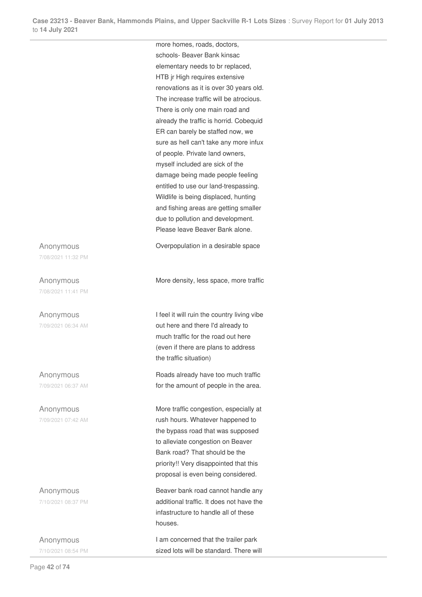more homes, roads, doctors, schools- Beaver Bank kinsac elementary needs to br replaced,

HTB jr High requires extensive renovations as it is over 30 years old. The increase traffic will be atrocious. There is only one main road and already the traffic is horrid. Cobequid ER can barely be staffed now, we sure as hell can't take any more infux of people. Private land owners, myself included are sick of the damage being made people feeling entitled to use our land-trespassing. Wildlife is being displaced, hunting and fishing areas are getting smaller due to pollution and development. Please leave Beaver Bank alone.

Overpopulation in a desirable space

Anonymous 7/08/2021 11:32 PM

Anonymous 7/08/2021 11:41 PM

Anonymous 7/09/2021 06:34 AM

Anonymous 7/09/2021 06:37 AM

Anonymous 7/09/2021 07:42 AM

Anonymous 7/10/2021 08:37 PM

Anonymous 7/10/2021 08:54 PM More density, less space, more traffic

I feel it will ruin the country living vibe out here and there I'd already to much traffic for the road out here (even if there are plans to address the traffic situation)

Roads already have too much traffic for the amount of people in the area.

More traffic congestion, especially at rush hours. Whatever happened to the bypass road that was supposed to alleviate congestion on Beaver Bank road? That should be the priority!! Very disappointed that this proposal is even being considered.

Beaver bank road cannot handle any additional traffic. It does not have the infastructure to handle all of these houses.

I am concerned that the trailer park sized lots will be standard. There will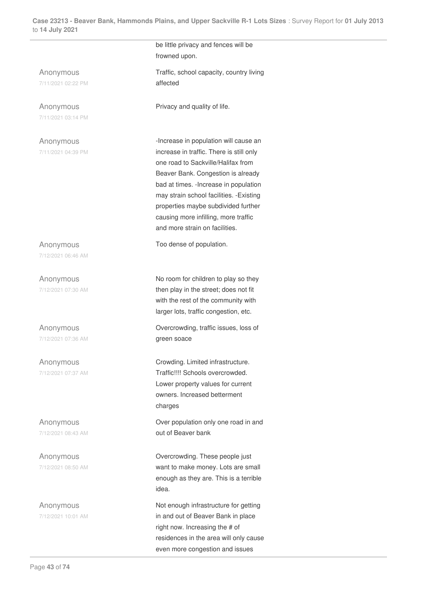be little privacy and fences will be

Anonymous 7/11/2021 02:22 PM

Anonymous 7/11/2021 03:14 PM

Anonymous 7/11/2021 04:39 PM

Anonymous 7/12/2021 06:46 AM

Anonymous 7/12/2021 07:30 AM

Anonymous 7/12/2021 07:36 AM

Anonymous 7/12/2021 07:37 AM

Anonymous 7/12/2021 08:43 AM

Anonymous 7/12/2021 08:50 AM

Anonymous 7/12/2021 10:01 AM frowned upon. Traffic, school capacity, country living affected

Privacy and quality of life.

-Increase in population will cause an increase in traffic. There is still only one road to Sackville/Halifax from Beaver Bank. Congestion is already bad at times. -Increase in population may strain school facilities. -Existing properties maybe subdivided further causing more infilling, more traffic and more strain on facilities.

Too dense of population.

No room for children to play so they then play in the street; does not fit with the rest of the community with larger lots, traffic congestion, etc.

Overcrowding, traffic issues, loss of green soace

Crowding. Limited infrastructure. Traffic!!!! Schools overcrowded. Lower property values for current owners. Increased betterment charges

Over population only one road in and out of Beaver bank

Overcrowding. These people just want to make money. Lots are small enough as they are. This is a terrible idea.

Not enough infrastructure for getting in and out of Beaver Bank in place right now. Increasing the # of residences in the area will only cause even more congestion and issues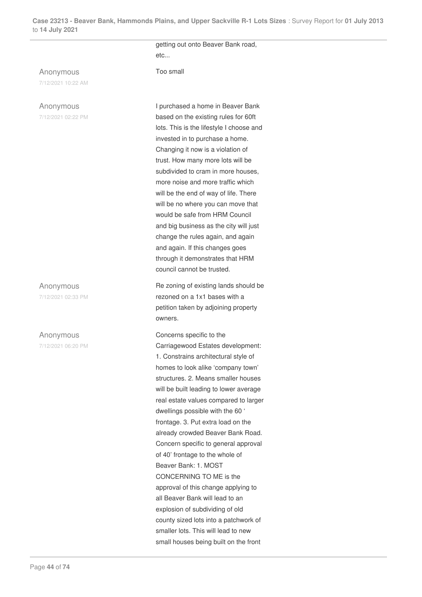Anonymous

7/12/2021 10:22 AM

## Anonymous

7/12/2021 02:22 PM

Anonymous 7/12/2021 02:33 PM

## Anonymous

7/12/2021 06:20 PM

getting out onto Beaver Bank road, etc...

Too small

I purchased a home in Beaver Bank based on the existing rules for 60ft lots. This is the lifestyle I choose and invested in to purchase a home. Changing it now is a violation of trust. How many more lots will be subdivided to cram in more houses, more noise and more traffic which will be the end of way of life. There will be no where you can move that would be safe from HRM Council and big business as the city will just change the rules again, and again and again. If this changes goes through it demonstrates that HRM council cannot be trusted.

Re zoning of existing lands should be rezoned on a 1x1 bases with a petition taken by adjoining property owners.

Concerns specific to the

Carriagewood Estates development: 1. Constrains architectural style of homes to look alike 'company town' structures. 2. Means smaller houses will be built leading to lower average real estate values compared to larger dwellings possible with the 60 ' frontage. 3. Put extra load on the already crowded Beaver Bank Road. Concern specific to general approval of 40' frontage to the whole of Beaver Bank: 1. MOST CONCERNING TO ME is the approval of this change applying to all Beaver Bank will lead to an explosion of subdividing of old county sized lots into a patchwork of smaller lots. This will lead to new small houses being built on the front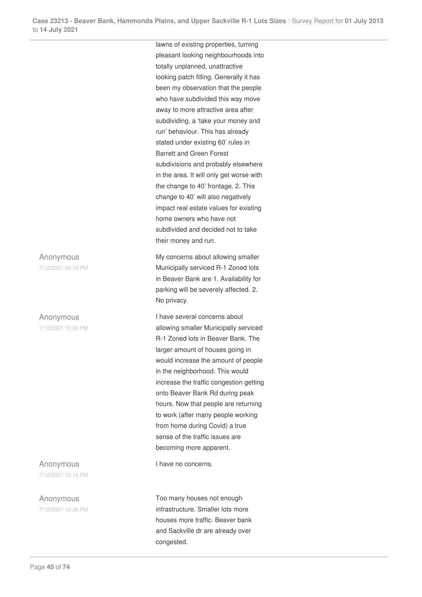Anonymous 7/12/2021 09:19 PM

Anonymous

7/12/2021 10:08 PM

Anonymous 7/12/2021 10:14 PM

Anonymous 7/12/2021 10:36 PM lawns of existing properties, turning pleasant looking neighbourhoods into totally unplanned, unattractive looking patch filling. Generally it has been my observation that the people who have subdivided this way move away to more attractive area after subdividing, a 'take your money and run' behaviour. This has already stated under existing 60' rules in Barrett and Green Forest subdivisions and probably elsewhere in the area. It will only get worse with the change to 40' frontage. 2. This change to 40' will also negatively impact real estate values for existing home owners who have not subdivided and decided not to take their money and run.

My concerns about allowing smaller Municipally serviced R-1 Zoned lots in Beaver Bank are 1. Availability for parking will be severely affected. 2. No privacy.

I have several concerns about allowing smaller Municipally serviced R-1 Zoned lots in Beaver Bank. The larger amount of houses going in would increase the amount of people in the neighborhood. This would increase the traffic congestion getting onto Beaver Bank Rd during peak hours. Now that people are returning to work (after many people working from home during Covid) a true sense of the traffic issues are becoming more apparent.

I have no concerns.

Too many houses not enough infrastructure. Smaller lots more houses more traffic. Beaver bank and Sackville dr are already over congested.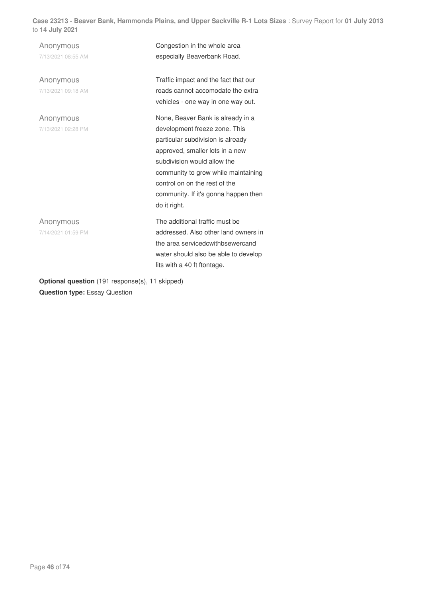| Anonymous                                      | Congestion in the whole area         |
|------------------------------------------------|--------------------------------------|
| 7/13/2021 08:55 AM                             | especially Beaverbank Road.          |
| Anonymous                                      | Traffic impact and the fact that our |
| 7/13/2021 09:18 AM                             | roads cannot accomodate the extra    |
|                                                | vehicles - one way in one way out.   |
| Anonymous                                      | None, Beaver Bank is already in a    |
| 7/13/2021 02:28 PM                             | development freeze zone. This        |
|                                                | particular subdivision is already    |
|                                                | approved, smaller lots in a new      |
|                                                | subdivision would allow the          |
|                                                | community to grow while maintaining  |
|                                                | control on on the rest of the        |
|                                                | community. If it's gonna happen then |
|                                                | do it right.                         |
| Anonymous                                      | The additional traffic must be       |
| 7/14/2021 01:59 PM                             | addressed. Also other land owners in |
|                                                | the area serviced cwith b sewer cand |
|                                                | water should also be able to develop |
|                                                | lits with a 40 ft ftontage.          |
| Ontional question (191 response(s) 11 skinned) |                                      |

**Optional question** (191 response(s), 11 skipped) **Question type:** Essay Question

 $\overline{a}$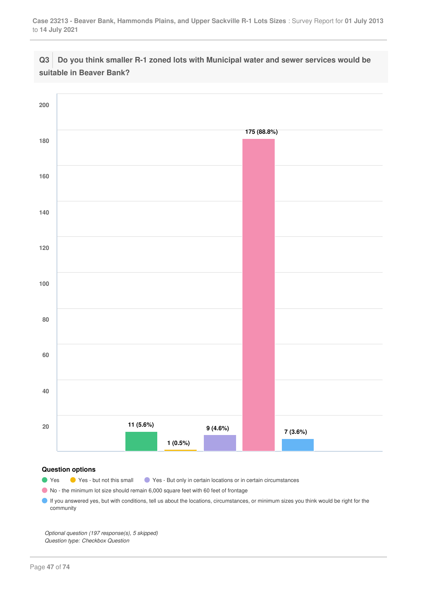# **Q3 Do you think smaller R-1 zoned lots with Municipal water and sewer services would be suitable in Beaver Bank?**



#### **Question options**

● Yes ● Yes - but not this small ● Yes - But only in certain locations or in certain circumstances

No - the minimum lot size should remain 6,000 square feet with 60 feet of frontage

If you answered yes, but with conditions, tell us about the locations, circumstances, or minimum sizes you think would be right for the community

*Optional question (197 response(s), 5 skipped) Question type: Checkbox Question*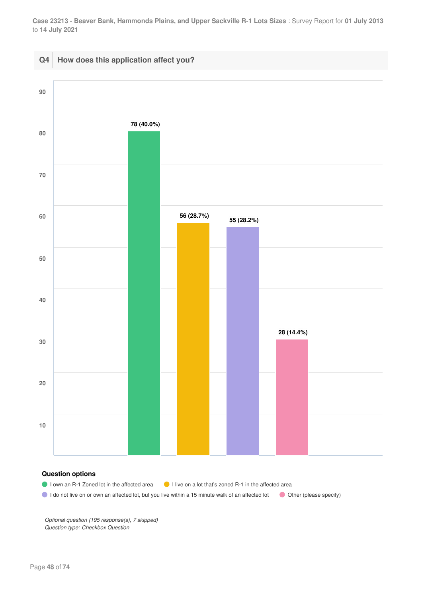

## **Question options**

- I own an R-1 Zoned lot in the affected area I I live on a lot that's zoned R-1 in the affected area
- I do not live on or own an affected lot, but you live within a 15 minute walk of an affected lot Other (please specify)

*Optional question (195 response(s), 7 skipped) Question type: Checkbox Question*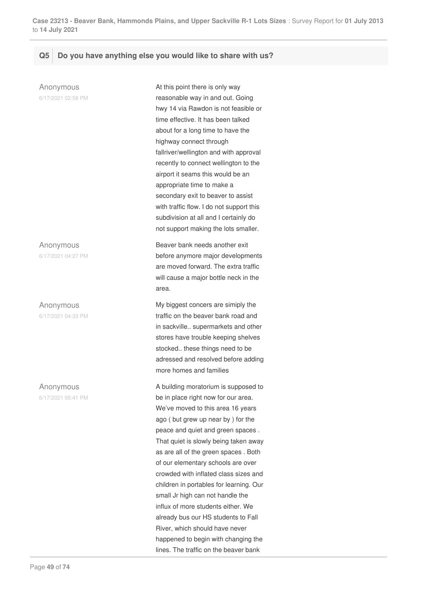# **Q5 Do you have anything else you would like to share with us?**

Anonymous 6/17/2021 02:58 PM At this point there is only way reasonable way in and out. Going hwy 14 via Rawdon is not feasible or time effective. It has been talked about for a long time to have the highway connect through fallriver/wellington and with approval recently to connect wellington to the airport it seams this would be an appropriate time to make a secondary exit to beaver to assist with traffic flow. I do not support this subdivision at all and I certainly do not support making the lots smaller. Anonymous 6/17/2021 04:27 PM Beaver bank needs another exit before anymore major developments are moved forward. The extra traffic will cause a major bottle neck in the area. Anonymous 6/17/2021 04:33 PM My biggest concers are simiply the traffic on the beaver bank road and in sackville.. supermarkets and other stores have trouble keeping shelves stocked.. these things need to be adressed and resolved before adding more homes and families Anonymous 6/17/2021 05:41 PM A building moratorium is supposed to be in place right now for our area. We've moved to this area 16 years ago ( but grew up near by ) for the peace and quiet and green spaces . That quiet is slowly being taken away as are all of the green spaces . Both of our elementary schools are over crowded with inflated class sizes and children in portables for learning. Our small Jr high can not handle the influx of more students either. We already bus our HS students to Fall River, which should have never happened to begin with changing the

lines. The traffic on the beaver bank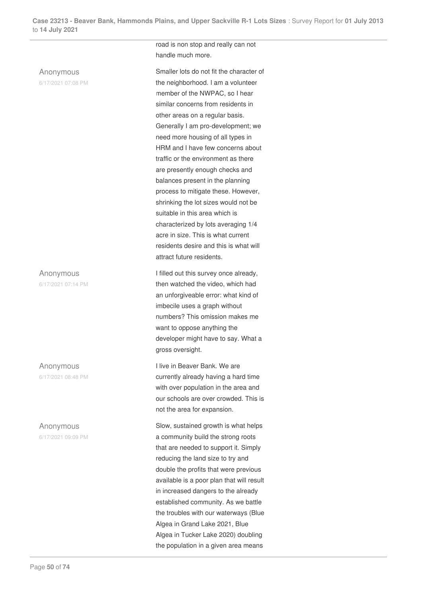# Anonymous

6/17/2021 07:08 PM

# Anonymous

6/17/2021 07:14 PM

Anonymous

6/17/2021 08:48 PM

# Anonymous

6/17/2021 09:09 PM

road is non stop and really can not handle much more.

Smaller lots do not fit the character of the neighborhood. I am a volunteer member of the NWPAC, so I hear similar concerns from residents in other areas on a regular basis. Generally I am pro-development; we need more housing of all types in HRM and I have few concerns about traffic or the environment as there are presently enough checks and balances present in the planning process to mitigate these. However, shrinking the lot sizes would not be suitable in this area which is characterized by lots averaging 1/4 acre in size. This is what current residents desire and this is what will attract future residents.

I filled out this survey once already, then watched the video, which had an unforgiveable error: what kind of imbecile uses a graph without numbers? This omission makes me want to oppose anything the developer might have to say. What a gross oversight.

I live in Beaver Bank. We are currently already having a hard time with over population in the area and our schools are over crowded. This is not the area for expansion.

Slow, sustained growth is what helps a community build the strong roots that are needed to support it. Simply reducing the land size to try and double the profits that were previous available is a poor plan that will result in increased dangers to the already established community. As we battle the troubles with our waterways (Blue Algea in Grand Lake 2021, Blue Algea in Tucker Lake 2020) doubling the population in a given area means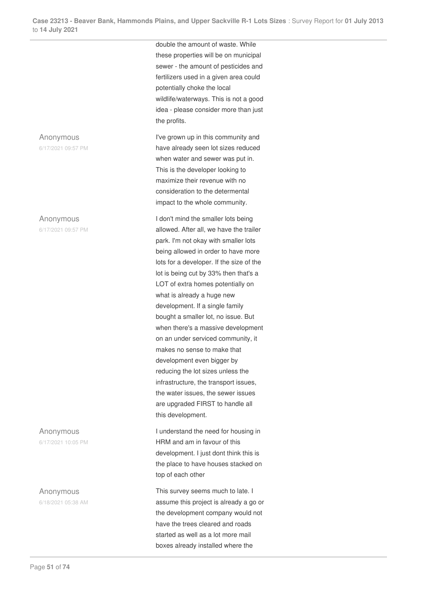# Anonymous

6/17/2021 09:57 PM

#### Anonymous

6/17/2021 09:57 PM

Anonymous

6/17/2021 10:05 PM

Anonymous 6/18/2021 05:38 AM double the amount of waste. While these properties will be on municipal sewer - the amount of pesticides and fertilizers used in a given area could potentially choke the local wildlife/waterways. This is not a good idea - please consider more than just the profits.

I've grown up in this community and have already seen lot sizes reduced when water and sewer was put in. This is the developer looking to maximize their revenue with no consideration to the determental impact to the whole community.

I don't mind the smaller lots being allowed. After all, we have the trailer park. I'm not okay with smaller lots being allowed in order to have more lots for a developer. If the size of the lot is being cut by 33% then that's a LOT of extra homes potentially on what is already a huge new development. If a single family bought a smaller lot, no issue. But when there's a massive development on an under serviced community, it makes no sense to make that development even bigger by reducing the lot sizes unless the infrastructure, the transport issues, the water issues, the sewer issues are upgraded FIRST to handle all this development.

I understand the need for housing in HRM and am in favour of this development. I just dont think this is the place to have houses stacked on top of each other

This survey seems much to late. I assume this project is already a go or the development company would not have the trees cleared and roads started as well as a lot more mail boxes already installed where the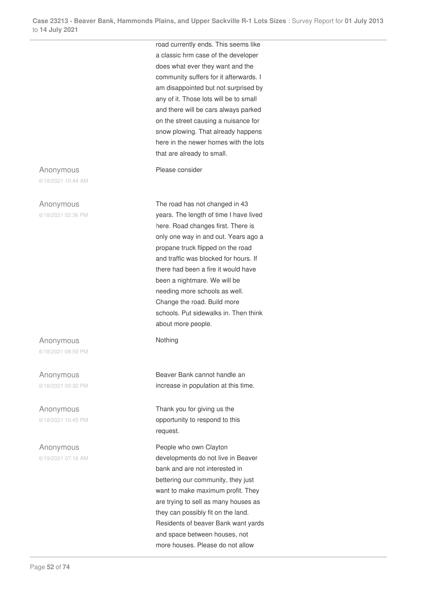road currently ends. This seems like a classic hrm case of the developer does what ever they want and the community suffers for it afterwards. I am disappointed but not surprised by any of it. Those lots will be to small and there will be cars always parked on the street causing a nuisance for snow plowing. That already happens here in the newer homes with the lots that are already to small.

Please consider

The road has not changed in 43 years. The length of time I have lived here. Road changes first. There is only one way in and out. Years ago a propane truck flipped on the road and traffic was blocked for hours. If there had been a fire it would have been a nightmare. We will be needing more schools as well. Change the road. Build more schools. Put sidewalks in. Then think about more people.

Nothing

Beaver Bank cannot handle an increase in population at this time.

Thank you for giving us the opportunity to respond to this request.

People who own Clayton developments do not live in Beaver bank and are not interested in bettering our community, they just want to make maximum profit. They are trying to sell as many houses as they can possibly fit on the land. Residents of beaver Bank want yards and space between houses, not more houses. Please do not allow

Anonymous

6/18/2021 10:44 AM

#### Anonymous

6/18/2021 02:36 PM

Anonymous 6/18/2021 08:59 PM

Anonymous 6/18/2021 09:32 PM

Anonymous 6/18/2021 10:45 PM

Anonymous 6/19/2021 07:16 AM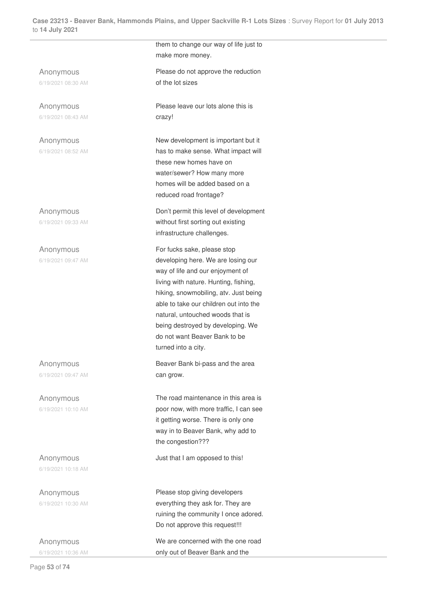Anonymous 6/19/2021 08:30 AM

Anonymous 6/19/2021 08:43 AM

Anonymous 6/19/2021 08:52 AM

Anonymous 6/19/2021 09:33 AM

Anonymous 6/19/2021 09:47 AM

Anonymous 6/19/2021 09:47 AM

Anonymous 6/19/2021 10:10 AM

Anonymous 6/19/2021 10:18 AM

Anonymous 6/19/2021 10:30 AM

Anonymous 6/19/2021 10:36 AM them to change our way of life just to make more money. Please do not approve the reduction of the lot sizes

Please leave our lots alone this is crazy!

New development is important but it has to make sense. What impact will these new homes have on water/sewer? How many more homes will be added based on a reduced road frontage?

Don't permit this level of development without first sorting out existing infrastructure challenges.

For fucks sake, please stop developing here. We are losing our way of life and our enjoyment of living with nature. Hunting, fishing, hiking, snowmobiling, atv. Just being able to take our children out into the natural, untouched woods that is being destroyed by developing. We do not want Beaver Bank to be turned into a city.

Beaver Bank bi-pass and the area can grow.

The road maintenance in this area is poor now, with more traffic, I can see it getting worse. There is only one way in to Beaver Bank, why add to the congestion???

Just that I am opposed to this!

Please stop giving developers everything they ask for. They are ruining the community I once adored. Do not approve this request!!!

We are concerned with the one road only out of Beaver Bank and the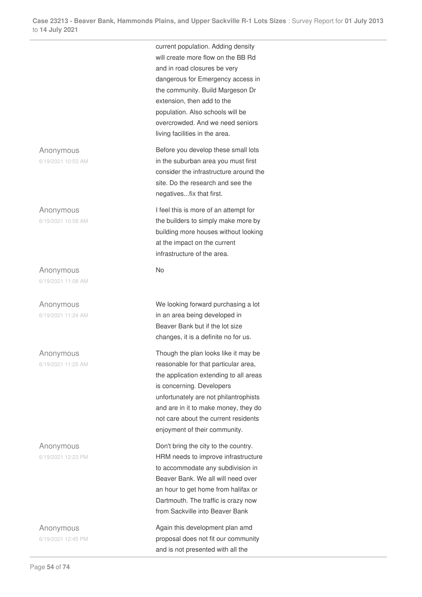Anonymous 6/19/2021 10:53 AM

Anonymous 6/19/2021 10:58 AM

Anonymous 6/19/2021 11:08 AM

Anonymous 6/19/2021 11:24 AM

Anonymous 6/19/2021 11:25 AM

Anonymous 6/19/2021 12:23 PM

Anonymous 6/19/2021 12:45 PM current population. Adding density will create more flow on the BB Rd and in road closures be very dangerous for Emergency access in the community. Build Margeson Dr extension, then add to the population. Also schools will be overcrowded. And we need seniors living facilities in the area.

Before you develop these small lots in the suburban area you must first consider the infrastructure around the site. Do the research and see the negatives...fix that first.

I feel this is more of an attempt for the builders to simply make more by building more houses without looking at the impact on the current infrastructure of the area.

No

We looking forward purchasing a lot in an area being developed in Beaver Bank but if the lot size changes, it is a definite no for us.

Though the plan looks like it may be reasonable for that particular area, the application extending to all areas is concerning. Developers unfortunately are not philantrophists and are in it to make money, they do not care about the current residents enjoyment of their community.

Don't bring the city to the country. HRM needs to improve infrastructure to accommodate any subdivision in Beaver Bank. We all will need over an hour to get home from halifax or Dartmouth. The traffic is crazy now from Sackville into Beaver Bank

Again this development plan amd proposal does not fit our community and is not presented with all the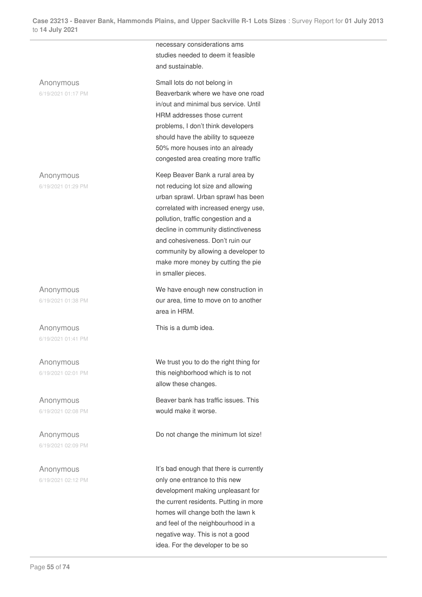Anonymous

6/19/2021 01:17 PM

Anonymous

6/19/2021 01:29 PM

Anonymous 6/19/2021 01:38 PM

Anonymous 6/19/2021 01:41 PM

Anonymous 6/19/2021 02:01 PM

Anonymous 6/19/2021 02:08 PM

Anonymous 6/19/2021 02:09 PM

Anonymous 6/19/2021 02:12 PM necessary considerations ams studies needed to deem it feasible and sustainable.

Small lots do not belong in Beaverbank where we have one road in/out and minimal bus service. Until HRM addresses those current problems, I don't think developers should have the ability to squeeze 50% more houses into an already congested area creating more traffic

Keep Beaver Bank a rural area by not reducing lot size and allowing urban sprawl. Urban sprawl has been correlated with increased energy use, pollution, traffic congestion and a decline in community distinctiveness and cohesiveness. Don't ruin our community by allowing a developer to make more money by cutting the pie in smaller pieces.

We have enough new construction in our area, time to move on to another area in HRM.

This is a dumb idea.

We trust you to do the right thing for this neighborhood which is to not allow these changes.

Beaver bank has traffic issues. This would make it worse.

Do not change the minimum lot size!

It's bad enough that there is currently only one entrance to this new development making unpleasant for the current residents. Putting in more homes will change both the lawn k and feel of the neighbourhood in a negative way. This is not a good idea. For the developer to be so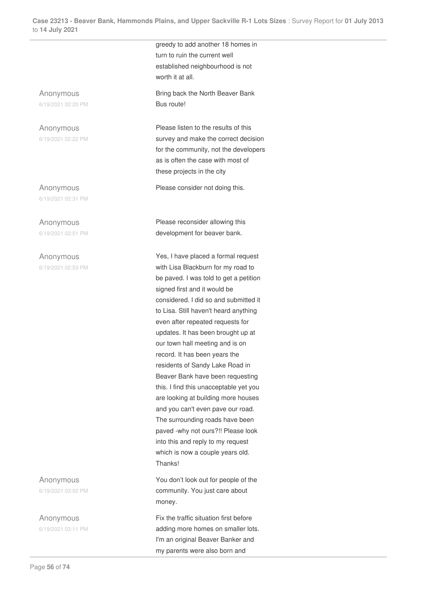Anonymous 6/19/2021 02:20 PM

Anonymous 6/19/2021 02:22 PM

Anonymous 6/19/2021 02:31 PM

Anonymous 6/19/2021 02:51 PM

Anonymous 6/19/2021 02:53 PM

Anonymous 6/19/2021 03:02 PM

Anonymous 6/19/2021 03:11 PM greedy to add another 18 homes in turn to ruin the current well established neighbourhood is not worth it at all.

Bring back the North Beaver Bank Bus route!

Please listen to the results of this survey and make the correct decision for the community, not the developers as is often the case with most of these projects in the city

Please consider not doing this.

Please reconsider allowing this development for beaver bank.

Yes, I have placed a formal request with Lisa Blackburn for my road to be paved. I was told to get a petition signed first and it would be considered. I did so and submitted it to Lisa. Still haven't heard anything even after repeated requests for updates. It has been brought up at our town hall meeting and is on record. It has been years the residents of Sandy Lake Road in Beaver Bank have been requesting this. I find this unacceptable yet you are looking at building more houses and you can't even pave our road. The surrounding roads have been paved -why not ours?!! Please look into this and reply to my request which is now a couple years old. Thanks!

You don't look out for people of the community. You just care about money.

Fix the traffic situation first before adding more homes on smaller lots. I'm an original Beaver Banker and my parents were also born and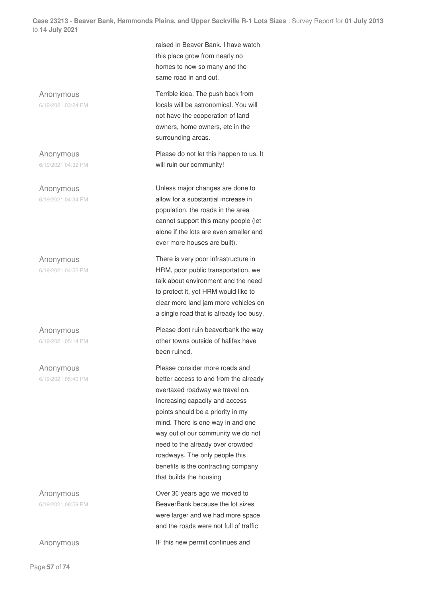raised in Beaver Bank. I have watch this place grow from nearly no homes to now so many and the same road in and out. Anonymous 6/19/2021 03:24 PM Terrible idea. The push back from locals will be astronomical. You will not have the cooperation of land owners, home owners, etc in the surrounding areas. Anonymous 6/19/2021 04:32 PM Please do not let this happen to us. It will ruin our community! Anonymous 6/19/2021 04:34 PM Unless major changes are done to allow for a substantial increase in population, the roads in the area cannot support this many people (let alone if the lots are even smaller and ever more houses are built). Anonymous 6/19/2021 04:52 PM There is very poor infrastructure in HRM, poor public transportation, we talk about environment and the need to protect it, yet HRM would like to clear more land jam more vehicles on a single road that is already too busy. Anonymous Please dont ruin beaverbank the way

6/19/2021 05:14 PM

Anonymous 6/19/2021 05:40 PM

Anonymous 6/19/2021 06:59 PM

other towns outside of halifax have been ruined.

Please consider more roads and better access to and from the already overtaxed roadway we travel on. Increasing capacity and access points should be a priority in my mind. There is one way in and one way out of our community we do not need to the already over crowded roadways. The only people this benefits is the contracting company that builds the housing

Over 30 years ago we moved to BeaverBank because the lot sizes were larger and we had more space and the roads were not full of traffic

Anonymous IF this new permit continues and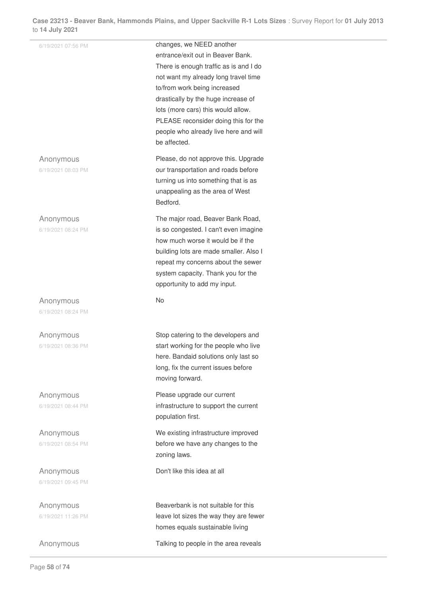| 14 July 2021                    |                                                                                                                                                                                                                                                                                                                                                               |  |
|---------------------------------|---------------------------------------------------------------------------------------------------------------------------------------------------------------------------------------------------------------------------------------------------------------------------------------------------------------------------------------------------------------|--|
| 6/19/2021 07:56 PM              | changes, we NEED another<br>entrance/exit out in Beaver Bank.<br>There is enough traffic as is and I do<br>not want my already long travel time<br>to/from work being increased<br>drastically by the huge increase of<br>lots (more cars) this would allow.<br>PLEASE reconsider doing this for the<br>people who already live here and will<br>be affected. |  |
| Anonymous<br>6/19/2021 08:03 PM | Please, do not approve this. Upgrade<br>our transportation and roads before<br>turning us into something that is as<br>unappealing as the area of West<br>Bedford.                                                                                                                                                                                            |  |
| Anonymous<br>6/19/2021 08:24 PM | The major road, Beaver Bank Road,<br>is so congested. I can't even imagine<br>how much worse it would be if the<br>building lots are made smaller. Also I<br>repeat my concerns about the sewer<br>system capacity. Thank you for the<br>opportunity to add my input.                                                                                         |  |
| Anonymous<br>6/19/2021 08:24 PM | No                                                                                                                                                                                                                                                                                                                                                            |  |
| Anonymous<br>6/19/2021 08:36 PM | Stop catering to the developers and<br>start working for the people who live<br>here. Bandaid solutions only last so<br>long, fix the current issues before<br>moving forward.                                                                                                                                                                                |  |
| Anonymous<br>6/19/2021 08:44 PM | Please upgrade our current<br>infrastructure to support the current<br>population first.                                                                                                                                                                                                                                                                      |  |
| Anonymous<br>6/19/2021 08:54 PM | We existing infrastructure improved<br>before we have any changes to the<br>zoning laws.                                                                                                                                                                                                                                                                      |  |
| Anonymous<br>6/19/2021 09:45 PM | Don't like this idea at all                                                                                                                                                                                                                                                                                                                                   |  |
| Anonymous<br>6/19/2021 11:26 PM | Beaverbank is not suitable for this<br>leave lot sizes the way they are fewer<br>homes equals sustainable living                                                                                                                                                                                                                                              |  |
| Anonymous                       | Talking to people in the area reveals                                                                                                                                                                                                                                                                                                                         |  |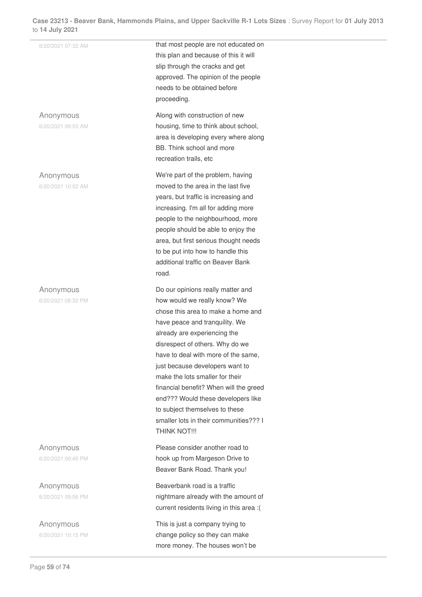| 14 July 2021                    |                                                                                                                                                                                                                                                                                                                                                                                                                                                                                                        |
|---------------------------------|--------------------------------------------------------------------------------------------------------------------------------------------------------------------------------------------------------------------------------------------------------------------------------------------------------------------------------------------------------------------------------------------------------------------------------------------------------------------------------------------------------|
| 6/20/2021 07:32 AM              | that most people are not educated on<br>this plan and because of this it will<br>slip through the cracks and get<br>approved. The opinion of the people<br>needs to be obtained before<br>proceeding.                                                                                                                                                                                                                                                                                                  |
| Anonymous<br>6/20/2021 09:53 AM | Along with construction of new<br>housing, time to think about school,<br>area is developing every where along<br>BB. Think school and more<br>recreation trails, etc                                                                                                                                                                                                                                                                                                                                  |
| Anonymous<br>6/20/2021 10:02 AM | We're part of the problem, having<br>moved to the area in the last five<br>years, but traffic is increasing and<br>increasing. I'm all for adding more<br>people to the neighbourhood, more<br>people should be able to enjoy the<br>area, but first serious thought needs<br>to be put into how to handle this<br>additional traffic on Beaver Bank<br>road.                                                                                                                                          |
| Anonymous<br>6/20/2021 08:32 PM | Do our opinions really matter and<br>how would we really know? We<br>chose this area to make a home and<br>have peace and tranquility. We<br>already are experiencing the<br>disrespect of others. Why do we<br>have to deal with more of the same,<br>just because developers want to<br>make the lots smaller for their<br>financial benefit? When will the greed<br>end??? Would these developers like<br>to subject themselves to these<br>smaller lots in their communities??? I<br>THINK NOT !!! |
| Anonymous<br>6/20/2021 09:45 PM | Please consider another road to<br>hook up from Margeson Drive to<br>Beaver Bank Road. Thank you!                                                                                                                                                                                                                                                                                                                                                                                                      |
| Anonymous<br>6/20/2021 09:56 PM | Beaverbank road is a traffic<br>nightmare already with the amount of<br>current residents living in this area :(                                                                                                                                                                                                                                                                                                                                                                                       |
| Anonymous<br>6/20/2021 10:15 PM | This is just a company trying to<br>change policy so they can make                                                                                                                                                                                                                                                                                                                                                                                                                                     |

more money. The houses won't be

 $\mathcal{L}^{\mathcal{L}}$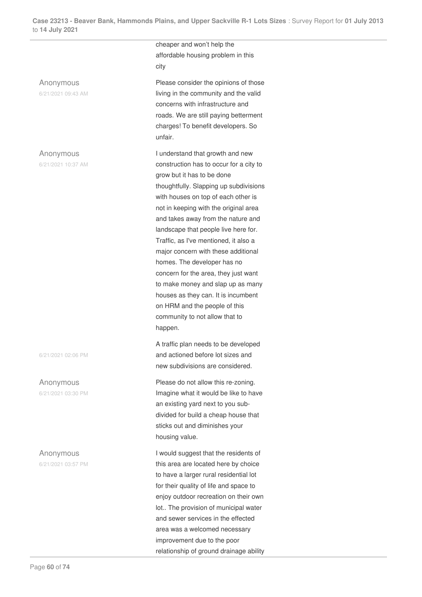city Anonymous 6/21/2021 09:43 AM unfair. Anonymous 6/21/2021 10:37 AM

6/21/2021 02:06 PM

Anonymous 6/21/2021 03:30 PM

Anonymous 6/21/2021 03:57 PM cheaper and won't help the affordable housing problem in this

Please consider the opinions of those living in the community and the valid concerns with infrastructure and roads. We are still paying betterment charges! To benefit developers. So

I understand that growth and new construction has to occur for a city to grow but it has to be done thoughtfully. Slapping up subdivisions with houses on top of each other is not in keeping with the original area and takes away from the nature and landscape that people live here for. Traffic, as I've mentioned, it also a major concern with these additional homes. The developer has no concern for the area, they just want to make money and slap up as many houses as they can. It is incumbent on HRM and the people of this community to not allow that to happen.

A traffic plan needs to be developed and actioned before lot sizes and new subdivisions are considered.

Please do not allow this re-zoning. Imagine what it would be like to have an existing yard next to you subdivided for build a cheap house that sticks out and diminishes your housing value.

I would suggest that the residents of this area are located here by choice to have a larger rural residential lot for their quality of life and space to enjoy outdoor recreation on their own lot.. The provision of municipal water and sewer services in the effected area was a welcomed necessary improvement due to the poor relationship of ground drainage ability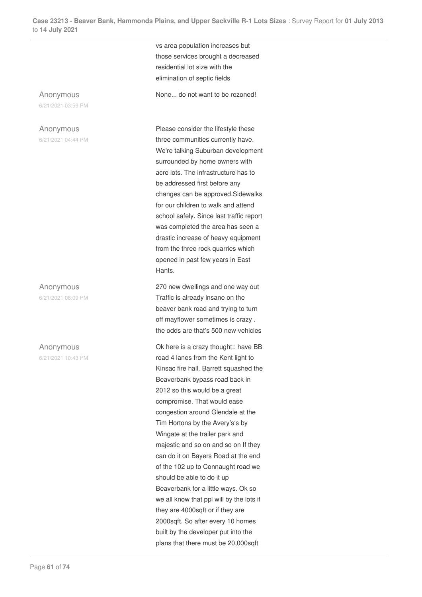vs area population increases but those services brought a decreased residential lot size with the elimination of septic fields

None... do not want to be rezoned!

Anonymous 6/21/2021 03:59 PM

# Anonymous

6/21/2021 04:44 PM

Anonymous 6/21/2021 08:09 PM

### Anonymous

6/21/2021 10:43 PM

Please consider the lifestyle these three communities currently have. We're talking Suburban development surrounded by home owners with acre lots. The infrastructure has to be addressed first before any changes can be approved.Sidewalks for our children to walk and attend school safely. Since last traffic report was completed the area has seen a drastic increase of heavy equipment from the three rock quarries which opened in past few years in East Hants.

270 new dwellings and one way out Traffic is already insane on the beaver bank road and trying to turn off mayflower sometimes is crazy . the odds are that's 500 new vehicles

Ok here is a crazy thought:: have BB road 4 lanes from the Kent light to Kinsac fire hall. Barrett squashed the Beaverbank bypass road back in 2012 so this would be a great compromise. That would ease congestion around Glendale at the Tim Hortons by the Avery's's by Wingate at the trailer park and majestic and so on and so on If they can do it on Bayers Road at the end of the 102 up to Connaught road we should be able to do it up Beaverbank for a little ways. Ok so we all know that ppl will by the lots if they are 4000sqft or if they are 2000sqft. So after every 10 homes built by the developer put into the plans that there must be 20,000sqft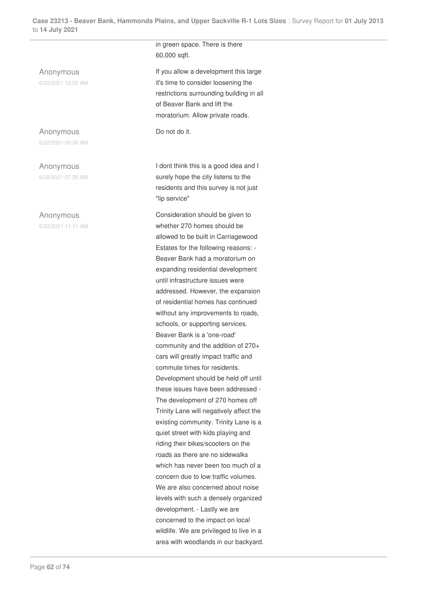Anonymous 6/22/2021 12:22 AM

Anonymous 6/22/2021 05:30 AM

Anonymous 6/22/2021 07:25 AM

### Anonymous

6/22/2021 11:11 AM

in green space. There is there 60,000 sqft.

If you allow a development this large it's time to consider loosening the restrictions surrounding building in all of Beaver Bank and lift the moratorium. Allow private roads.

Do not do it.

I dont think this is a good idea and I surely hope the city listens to the residents and this survey is not just "lip service"

Consideration should be given to whether 270 homes should be allowed to be built in Carriagewood Estates for the following reasons: - Beaver Bank had a moratorium on expanding residential development until infrastructure issues were addressed. However, the expansion of residential homes has continued without any improvements to roads, schools, or supporting services. Beaver Bank is a 'one-road' community and the addition of 270+ cars will greatly impact traffic and commute times for residents. Development should be held off until these issues have been addressed - The development of 270 homes off Trinity Lane will negatively affect the existing community. Trinity Lane is a quiet street with kids playing and riding their bikes/scooters on the roads as there are no sidewalks which has never been too much of a concern due to low traffic volumes. We are also concerned about noise levels with such a densely organized development. - Lastly we are concerned to the impact on local wildlife. We are privileged to live in a area with woodlands in our backyard.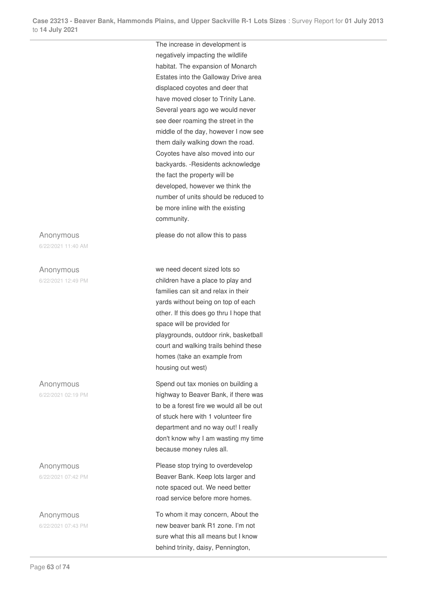The increase in development is

negatively impacting the wildlife habitat. The expansion of Monarch Estates into the Galloway Drive area displaced coyotes and deer that have moved closer to Trinity Lane. Several years ago we would never see deer roaming the street in the middle of the day, however I now see them daily walking down the road. Coyotes have also moved into our backyards. -Residents acknowledge the fact the property will be developed, however we think the number of units should be reduced to be more inline with the existing community.

please do not allow this to pass

we need decent sized lots so children have a place to play and families can sit and relax in their yards without being on top of each other. If this does go thru I hope that space will be provided for playgrounds, outdoor rink, basketball court and walking trails behind these homes (take an example from housing out west)

Spend out tax monies on building a highway to Beaver Bank, if there was to be a forest fire we would all be out of stuck here with 1 volunteer fire department and no way out! I really don't know why I am wasting my time because money rules all.

Please stop trying to overdevelop Beaver Bank. Keep lots larger and note spaced out. We need better road service before more homes.

To whom it may concern, About the new beaver bank R1 zone. I'm not sure what this all means but I know behind trinity, daisy, Pennington,

Anonymous 6/22/2021 11:40 AM

Anonymous 6/22/2021 12:49 PM

Anonymous

6/22/2021 02:19 PM

Anonymous 6/22/2021 07:42 PM

Anonymous 6/22/2021 07:43 PM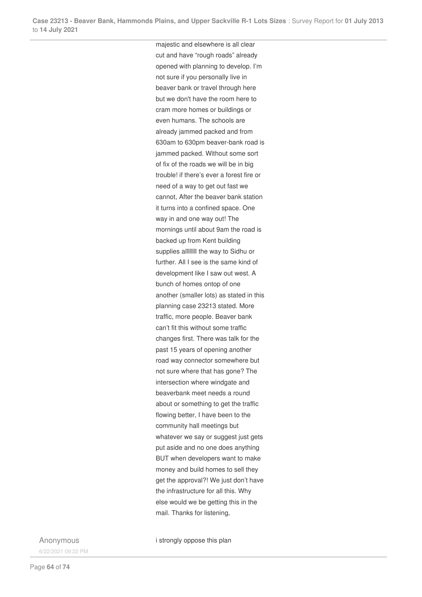majestic and elsewhere is all clear cut and have "rough roads" already opened with planning to develop. I'm not sure if you personally live in beaver bank or travel through here but we don't have the room here to cram more homes or buildings or even humans. The schools are already jammed packed and from 630am to 630pm beaver-bank road is jammed packed. Without some sort of fix of the roads we will be in big trouble! if there's ever a forest fire or need of a way to get out fast we cannot, After the beaver bank station it turns into a confined space. One way in and one way out! The mornings until about 9am the road is backed up from Kent building supplies allllllll the way to Sidhu or further. All I see is the same kind of development like I saw out west. A bunch of homes ontop of one another (smaller lots) as stated in this planning case 23213 stated. More traffic, more people. Beaver bank can't fit this without some traffic changes first. There was talk for the past 15 years of opening another road way connector somewhere but not sure where that has gone? The intersection where windgate and beaverbank meet needs a round about or something to get the traffic flowing better, I have been to the community hall meetings but whatever we say or suggest just gets put aside and no one does anything BUT when developers want to make money and build homes to sell they get the approval?! We just don't have the infrastructure for all this. Why else would we be getting this in the mail. Thanks for listening,

Anonymous 6/22/2021 09:22 PM i strongly oppose this plan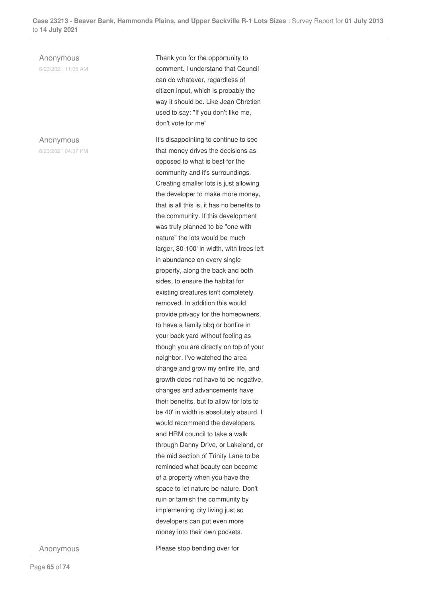Anonymous

6/23/2021 11:05 AM

Anonymous 6/23/2021 04:37 PM Thank you for the opportunity to comment. I understand that Council can do whatever, regardless of citizen input, which is probably the way it should be. Like Jean Chretien used to say: "If you don't like me, don't vote for me"

It's disappointing to continue to see that money drives the decisions as opposed to what is best for the community and it's surroundings. Creating smaller lots is just allowing the developer to make more money, that is all this is, it has no benefits to the community. If this development was truly planned to be "one with nature" the lots would be much larger, 80-100' in width, with trees left in abundance on every single property, along the back and both sides, to ensure the habitat for existing creatures isn't completely removed. In addition this would provide privacy for the homeowners, to have a family bbq or bonfire in your back yard without feeling as though you are directly on top of your neighbor. I've watched the area change and grow my entire life, and growth does not have to be negative, changes and advancements have their benefits, but to allow for lots to be 40' in width is absolutely absurd. I would recommend the developers, and HRM council to take a walk through Danny Drive, or Lakeland, or the mid section of Trinity Lane to be reminded what beauty can become of a property when you have the space to let nature be nature. Don't ruin or tarnish the community by implementing city living just so developers can put even more money into their own pockets.

Anonymous Please stop bending over for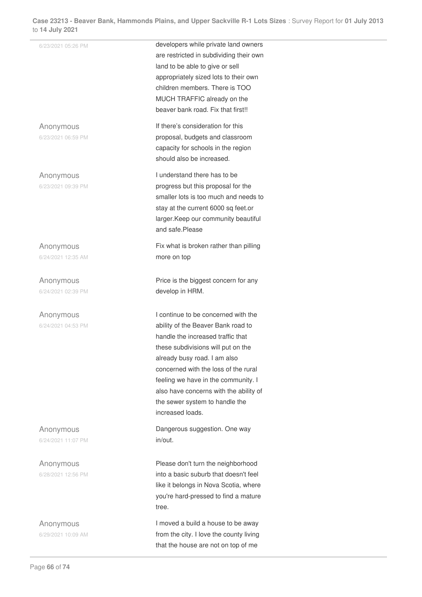| ) 14 July 2021     |                                         |
|--------------------|-----------------------------------------|
| 6/23/2021 05:26 PM | developers while private land owners    |
|                    | are restricted in subdividing their own |
|                    | land to be able to give or sell         |
|                    | appropriately sized lots to their own   |
|                    | children members. There is TOO          |
|                    | MUCH TRAFFIC already on the             |
|                    | beaver bank road. Fix that first!!      |
| Anonymous          | If there's consideration for this       |
| 6/23/2021 06:59 PM | proposal, budgets and classroom         |
|                    | capacity for schools in the region      |
|                    | should also be increased.               |
| Anonymous          | I understand there has to be            |
| 6/23/2021 09:39 PM | progress but this proposal for the      |
|                    | smaller lots is too much and needs to   |
|                    | stay at the current 6000 sq feet.or     |
|                    | larger. Keep our community beautiful    |
|                    | and safe.Please                         |
| Anonymous          | Fix what is broken rather than pilling  |
| 6/24/2021 12:35 AM | more on top                             |
|                    |                                         |
| Anonymous          | Price is the biggest concern for any    |
| 6/24/2021 02:39 PM | develop in HRM.                         |
|                    |                                         |
| Anonymous          | I continue to be concerned with the     |
| 6/24/2021 04:53 PM | ability of the Beaver Bank road to      |
|                    | handle the increased traffic that       |
|                    | these subdivisions will put on the      |
|                    | already busy road. I am also            |
|                    | concerned with the loss of the rural    |
|                    | feeling we have in the community. I     |
|                    | also have concerns with the ability of  |
|                    | the sewer system to handle the          |
|                    | increased loads.                        |
| Anonymous          | Dangerous suggestion. One way           |
| 6/24/2021 11:07 PM | in/out.                                 |
|                    |                                         |
| Anonymous          | Please don't turn the neighborhood      |
| 6/28/2021 12:56 PM | into a basic suburb that doesn't feel   |
|                    | like it belongs in Nova Scotia, where   |
|                    | you're hard-pressed to find a mature    |
|                    | tree.                                   |
| Anonymous          | I moved a build a house to be away      |
| 6/29/2021 10:09 AM | from the city. I love the county living |
|                    | that the house are not on top of me     |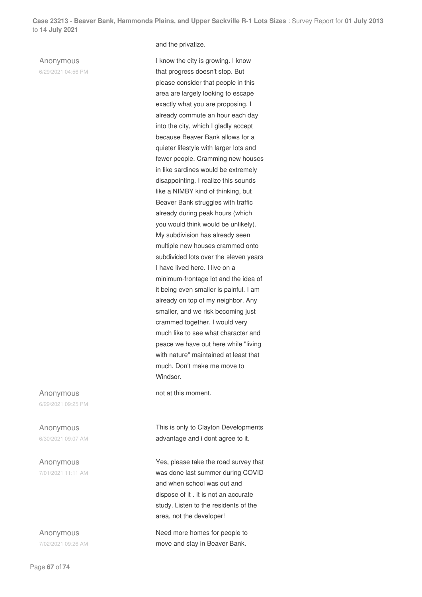#### Anonymous

6/29/2021 04:56 PM

### and the privatize.

I know the city is growing. I know that progress doesn't stop. But please consider that people in this area are largely looking to escape exactly what you are proposing. I already commute an hour each day into the city, which I gladly accept because Beaver Bank allows for a quieter lifestyle with larger lots and fewer people. Cramming new houses in like sardines would be extremely disappointing. I realize this sounds like a NIMBY kind of thinking, but Beaver Bank struggles with traffic already during peak hours (which you would think would be unlikely). My subdivision has already seen multiple new houses crammed onto subdivided lots over the eleven years I have lived here. I live on a minimum-frontage lot and the idea of it being even smaller is painful. I am already on top of my neighbor. Any smaller, and we risk becoming just crammed together. I would very much like to see what character and peace we have out here while "living with nature" maintained at least that much. Don't make me move to Windsor.

not at this moment.

This is only to Clayton Developments advantage and i dont agree to it.

Yes, please take the road survey that was done last summer during COVID and when school was out and dispose of it . It is not an accurate study. Listen to the residents of the area, not the developer!

Need more homes for people to move and stay in Beaver Bank.

Anonymous 6/29/2021 09:25 PM

Anonymous 6/30/2021 09:07 AM

Anonymous 7/01/2021 11:11 AM

Anonymous 7/02/2021 09:26 AM

Page **67** of **74**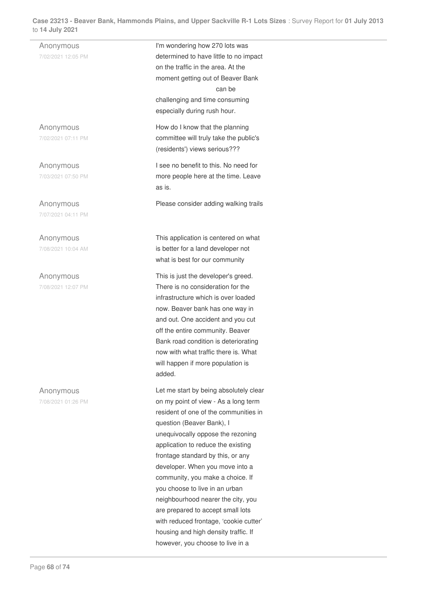Anonymous 7/02/2021 12:05 PM I'm wondering how 270 lots was determined to have little to no impact on the traffic in the area. At the moment getting out of Beaver Bank can be challenging and time consuming especially during rush hour. Anonymous 7/02/2021 07:11 PM How do I know that the planning committee will truly take the public's (residents') views serious??? Anonymous 7/03/2021 07:50 PM I see no benefit to this. No need for more people here at the time. Leave as is. Anonymous 7/07/2021 04:11 PM Please consider adding walking trails Anonymous 7/08/2021 10:04 AM This application is centered on what is better for a land developer not what is best for our community Anonymous 7/08/2021 12:07 PM This is just the developer's greed. There is no consideration for the infrastructure which is over loaded now. Beaver bank has one way in and out. One accident and you cut off the entire community. Beaver Bank road condition is deteriorating now with what traffic there is. What will happen if more population is added. Anonymous 7/08/2021 01:26 PM Let me start by being absolutely clear on my point of view - As a long term resident of one of the communities in question (Beaver Bank), I unequivocally oppose the rezoning application to reduce the existing frontage standard by this, or any developer. When you move into a community, you make a choice. If you choose to live in an urban neighbourhood nearer the city, you are prepared to accept small lots with reduced frontage, 'cookie cutter' housing and high density traffic. If however, you choose to live in a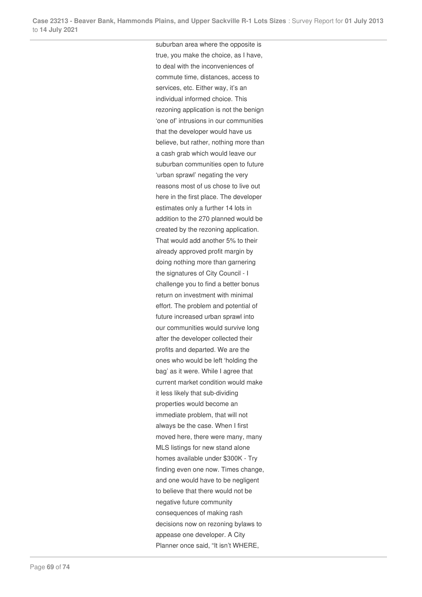suburban area where the opposite is true, you make the choice, as I have, to deal with the inconveniences of commute time, distances, access to services, etc. Either way, it's an individual informed choice. This rezoning application is not the benign 'one of' intrusions in our communities that the developer would have us believe, but rather, nothing more than a cash grab which would leave our suburban communities open to future 'urban sprawl' negating the very reasons most of us chose to live out here in the first place. The developer estimates only a further 14 lots in addition to the 270 planned would be created by the rezoning application. That would add another 5% to their already approved profit margin by doing nothing more than garnering the signatures of City Council - I challenge you to find a better bonus return on investment with minimal effort. The problem and potential of future increased urban sprawl into our communities would survive long after the developer collected their profits and departed. We are the ones who would be left 'holding the bag' as it were. While I agree that current market condition would make it less likely that sub-dividing properties would become an immediate problem, that will not always be the case. When I first moved here, there were many, many MLS listings for new stand alone homes available under \$300K - Try finding even one now. Times change, and one would have to be negligent to believe that there would not be negative future community consequences of making rash decisions now on rezoning bylaws to appease one developer. A City Planner once said, "It isn't WHERE,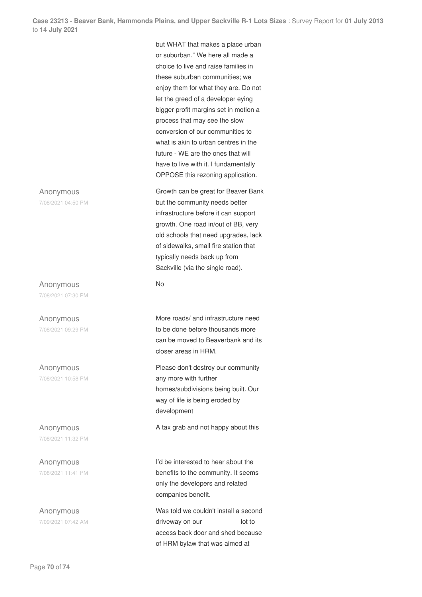but WHAT that makes a place urban or suburban." We here all made a choice to live and raise families in these suburban communities; we enjoy them for what they are. Do not let the greed of a developer eying bigger profit margins set in motion a process that may see the slow conversion of our communities to what is akin to urban centres in the future - WE are the ones that will have to live with it. I fundamentally OPPOSE this rezoning application.

Growth can be great for Beaver Bank but the community needs better infrastructure before it can support growth. One road in/out of BB, very old schools that need upgrades, lack of sidewalks, small fire station that typically needs back up from Sackville (via the single road).

No

More roads/ and infrastructure need to be done before thousands more can be moved to Beaverbank and its closer areas in HRM.

Please don't destroy our community any more with further homes/subdivisions being built. Our way of life is being eroded by development

A tax grab and not happy about this

I'd be interested to hear about the benefits to the community. It seems only the developers and related companies benefit.

Was told we couldn't install a second driveway on our lot to access back door and shed because of HRM bylaw that was aimed at

Anonymous

7/08/2021 04:50 PM

Anonymous 7/08/2021 07:30 PM

Anonymous 7/08/2021 09:29 PM

Anonymous 7/08/2021 10:58 PM

Anonymous 7/08/2021 11:32 PM

Anonymous 7/08/2021 11:41 PM

Anonymous 7/09/2021 07:42 AM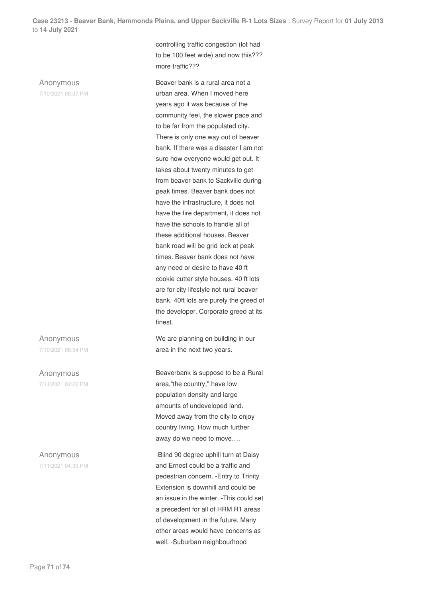## Anonymous

7/10/2021 08:37 PM

Anonymous 7/10/2021 08:54 PM

Anonymous 7/11/2021 02:22 PM

Anonymous 7/11/2021 04:39 PM controlling traffic congestion (lot had to be 100 feet wide) and now this??? more traffic???

Beaver bank is a rural area not a urban area. When I moved here years ago it was because of the community feel, the slower pace and to be far from the populated city. There is only one way out of beaver bank. If there was a disaster I am not sure how everyone would get out. It takes about twenty minutes to get from beaver bank to Sackville during peak times. Beaver bank does not have the infrastructure, it does not have the fire department, it does not have the schools to handle all of these additional houses. Beaver bank road will be grid lock at peak times. Beaver bank does not have any need or desire to have 40 ft cookie cutter style houses. 40 ft lots are for city lifestyle not rural beaver bank. 40ft lots are purely the greed of the developer. Corporate greed at its finest.

We are planning on building in our area in the next two years.

Beaverbank is suppose to be a Rural area,"the country," have low population density and large amounts of undeveloped land. Moved away from the city to enjoy country living. How much further away do we need to move….

-Blind 90 degree uphill turn at Daisy and Ernest could be a traffic and pedestrian concern. -Entry to Trinity Extension is downhill and could be an issue in the winter. -This could set a precedent for all of HRM R1 areas of development in the future. Many other areas would have concerns as well. -Suburban neighbourhood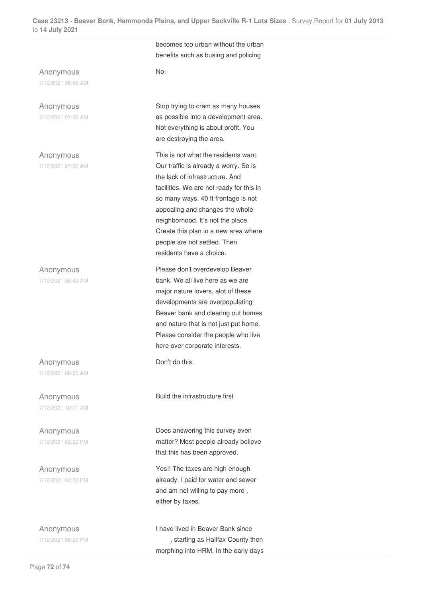**Case 23213 - Beaver Bank, Hammonds Plains, and Upper Sackville R-1 Lots Sizes** : Survey Report for **01 July 2013** to **14 July 2021**

## Anonymous

7/12/2021 06:46 AM

Anonymous 7/12/2021 07:36 AM

Anonymous 7/12/2021 07:37 AM

Anonymous 7/12/2021 08:43 AM

Anonymous 7/12/2021 08:50 AM

Anonymous 7/12/2021 10:01 AM

Anonymous 7/12/2021 02:22 PM

Anonymous 7/12/2021 02:33 PM

Anonymous 7/12/2021 06:20 PM becomes too urban without the urban benefits such as busing and policing

No.

Stop trying to cram as many houses as possible into a development area. Not everything is about profit. You are destroying the area.

This is not what the residents want. Our traffic is already a worry. So is the lack of infrastructure. And facilities. We are not ready for this in so many ways. 40 ft frontage is not appealing and changes the whole neighborhood. It's not the place. Create this plan in a new area where people are not settled. Then residents have a choice.

Please don't overdevelop Beaver bank. We all live here as we are major nature lovers, alot of these developments are overpopulating Beaver bank and clearing out homes and nature that is not just put home. Please consider the people who live here over corporate interests.

Don't do this.

Build the infrastructure first

Does answering this survey even matter? Most people already believe that this has been approved.

Yes!! The taxes are high enough already. I paid for water and sewer and am not willing to pay more , either by taxes.

I have lived in Beaver Bank since , starting as Halifax County then morphing into HRM. In the early days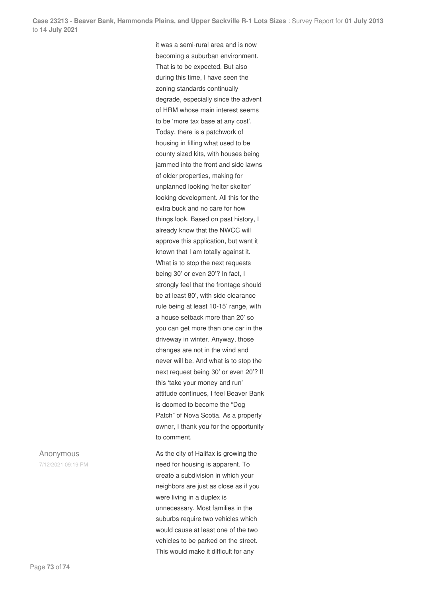it was a semi-rural area and is now becoming a suburban environment. That is to be expected. But also during this time, I have seen the zoning standards continually degrade, especially since the advent of HRM whose main interest seems to be 'more tax base at any cost'. Today, there is a patchwork of housing in filling what used to be county sized kits, with houses being jammed into the front and side lawns of older properties, making for unplanned looking 'helter skelter' looking development. All this for the extra buck and no care for how things look. Based on past history, I already know that the NWCC will approve this application, but want it known that I am totally against it. What is to stop the next requests being 30' or even 20'? In fact, I strongly feel that the frontage should be at least 80', with side clearance rule being at least 10-15' range, with a house setback more than 20' so you can get more than one car in the driveway in winter. Anyway, those changes are not in the wind and never will be. And what is to stop the next request being 30' or even 20'? If this 'take your money and run' attitude continues, I feel Beaver Bank is doomed to become the "Dog Patch" of Nova Scotia. As a property owner, I thank you for the opportunity to comment.

As the city of Halifax is growing the need for housing is apparent. To create a subdivision in which your neighbors are just as close as if you were living in a duplex is unnecessary. Most families in the suburbs require two vehicles which would cause at least one of the two vehicles to be parked on the street. This would make it difficult for any

## Anonymous

7/12/2021 09:19 PM